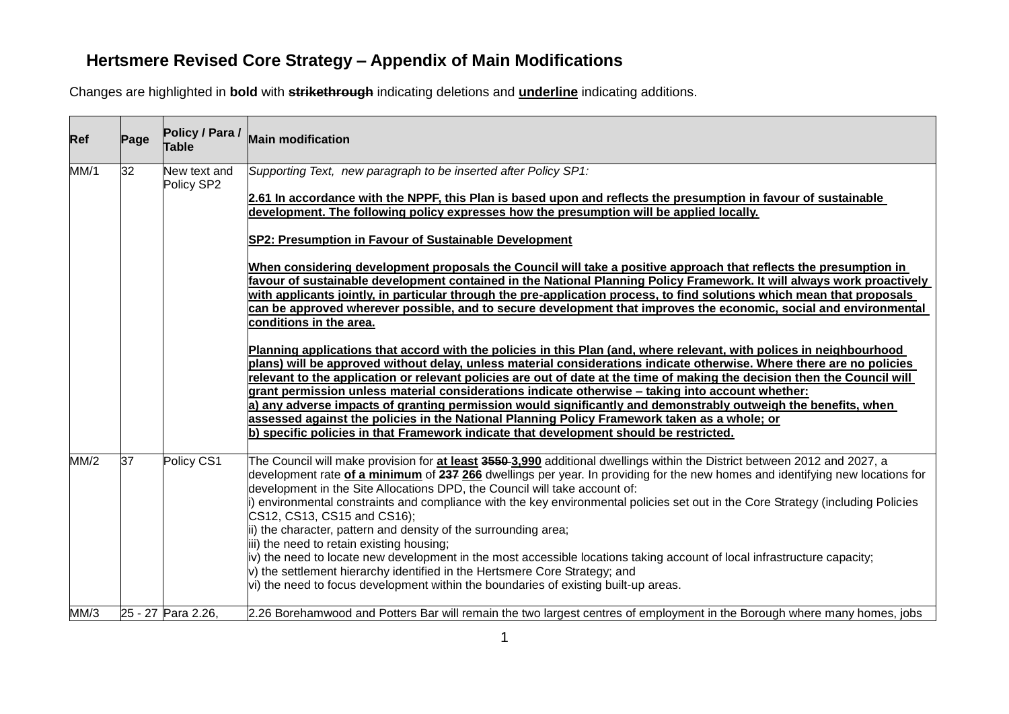# **Hertsmere Revised Core Strategy – Appendix of Main Modifications**

Changes are highlighted in **bold** with **strikethrough** indicating deletions and **underline** indicating additions.

| Ref  | Page | Policy / Para /<br><b>Table</b> | <b>Main modification</b>                                                                                                                                                                                                                                                                                                                                                                                                                                                     |
|------|------|---------------------------------|------------------------------------------------------------------------------------------------------------------------------------------------------------------------------------------------------------------------------------------------------------------------------------------------------------------------------------------------------------------------------------------------------------------------------------------------------------------------------|
| MM/1 | 32   | New text and<br>Policy SP2      | Supporting Text, new paragraph to be inserted after Policy SP1:<br>2.61 In accordance with the NPPF, this Plan is based upon and reflects the presumption in favour of sustainable                                                                                                                                                                                                                                                                                           |
|      |      |                                 | development. The following policy expresses how the presumption will be applied locally.                                                                                                                                                                                                                                                                                                                                                                                     |
|      |      |                                 | SP2: Presumption in Favour of Sustainable Development                                                                                                                                                                                                                                                                                                                                                                                                                        |
|      |      |                                 | When considering development proposals the Council will take a positive approach that reflects the presumption in<br>favour of sustainable development contained in the National Planning Policy Framework. It will always work proactively<br>with applicants jointly, in particular through the pre-application process, to find solutions which mean that proposals                                                                                                       |
|      |      |                                 | can be approved wherever possible, and to secure development that improves the economic, social and environmental<br>conditions in the area.                                                                                                                                                                                                                                                                                                                                 |
|      |      |                                 | Planning applications that accord with the policies in this Plan (and, where relevant, with polices in neighbourhood<br>plans) will be approved without delay, unless material considerations indicate otherwise. Where there are no policies                                                                                                                                                                                                                                |
|      |      |                                 | relevant to the application or relevant policies are out of date at the time of making the decision then the Council will<br>grant permission unless material considerations indicate otherwise - taking into account whether:<br>a) any adverse impacts of granting permission would significantly and demonstrably outweigh the benefits, when                                                                                                                             |
|      |      |                                 | assessed against the policies in the National Planning Policy Framework taken as a whole; or<br>b) specific policies in that Framework indicate that development should be restricted.                                                                                                                                                                                                                                                                                       |
| MM/2 | 37   | Policy CS1                      | The Council will make provision for at least 3550-3,990 additional dwellings within the District between 2012 and 2027, a<br>development rate of a minimum of 237 266 dwellings per year. In providing for the new homes and identifying new locations for<br>development in the Site Allocations DPD, the Council will take account of:<br>i) environmental constraints and compliance with the key environmental policies set out in the Core Strategy (including Policies |
|      |      |                                 | CS12, CS13, CS15 and CS16);<br>ii) the character, pattern and density of the surrounding area;                                                                                                                                                                                                                                                                                                                                                                               |
|      |      |                                 | iii) the need to retain existing housing;<br>iv) the need to locate new development in the most accessible locations taking account of local infrastructure capacity;<br>$ v\rangle$ the settlement hierarchy identified in the Hertsmere Core Strategy; and                                                                                                                                                                                                                 |
| MM/3 |      | 25 - 27 Para 2.26,              | vi) the need to focus development within the boundaries of existing built-up areas.<br>2.26 Borehamwood and Potters Bar will remain the two largest centres of employment in the Borough where many homes, jobs                                                                                                                                                                                                                                                              |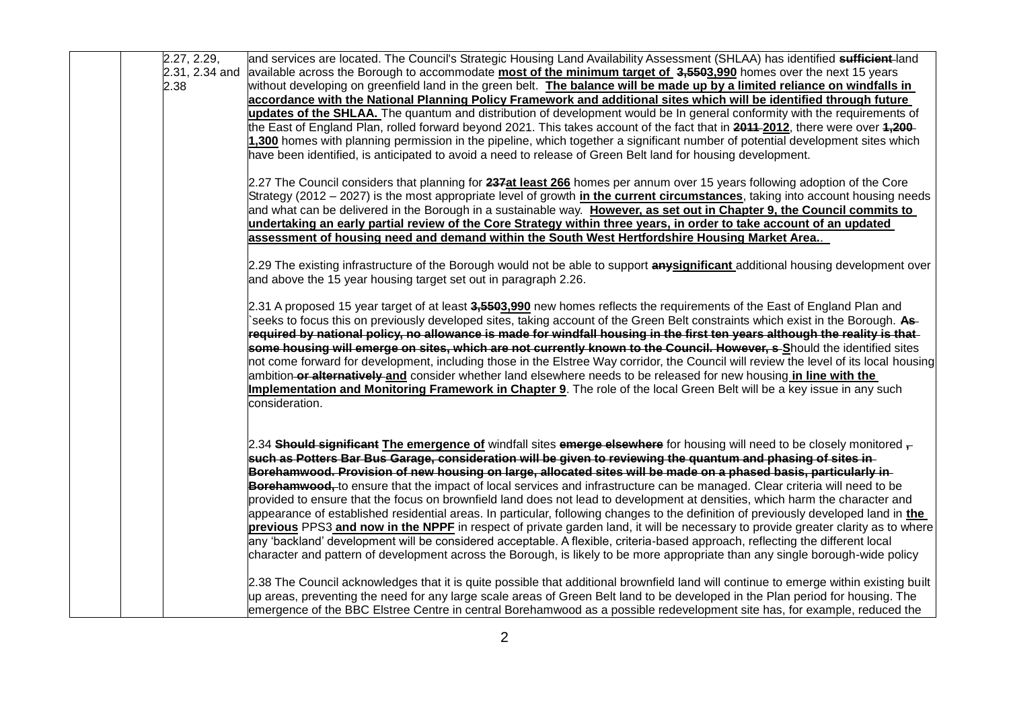| 2.27, 2.29,    | and services are located. The Council's Strategic Housing Land Availability Assessment (SHLAA) has identified sufficient-land                                                                                                                         |
|----------------|-------------------------------------------------------------------------------------------------------------------------------------------------------------------------------------------------------------------------------------------------------|
| 2.31, 2.34 and | available across the Borough to accommodate most of the minimum target of 3,5503,990 homes over the next 15 years                                                                                                                                     |
| 2.38           | without developing on greenfield land in the green belt. The balance will be made up by a limited reliance on windfalls in                                                                                                                            |
|                | accordance with the National Planning Policy Framework and additional sites which will be identified through future                                                                                                                                   |
|                | updates of the SHLAA. The quantum and distribution of development would be In general conformity with the requirements of                                                                                                                             |
|                | the East of England Plan, rolled forward beyond 2021. This takes account of the fact that in 2011-2012, there were over 1,200-                                                                                                                        |
|                | 1,300 homes with planning permission in the pipeline, which together a significant number of potential development sites which                                                                                                                        |
|                | have been identified, is anticipated to avoid a need to release of Green Belt land for housing development.                                                                                                                                           |
|                | 2.27 The Council considers that planning for 237at least 266 homes per annum over 15 years following adoption of the Core                                                                                                                             |
|                | Strategy (2012 – 2027) is the most appropriate level of growth in the current circumstances, taking into account housing needs                                                                                                                        |
|                | and what can be delivered in the Borough in a sustainable way. However, as set out in Chapter 9, the Council commits to                                                                                                                               |
|                | undertaking an early partial review of the Core Strategy within three years, in order to take account of an updated                                                                                                                                   |
|                | assessment of housing need and demand within the South West Hertfordshire Housing Market Area                                                                                                                                                         |
|                | 2.29 The existing infrastructure of the Borough would not be able to support anysignificant additional housing development over                                                                                                                       |
|                | and above the 15 year housing target set out in paragraph 2.26.                                                                                                                                                                                       |
|                | 2.31 A proposed 15 year target of at least 3,5593,990 new homes reflects the requirements of the East of England Plan and                                                                                                                             |
|                | seeks to focus this on previously developed sites, taking account of the Green Belt constraints which exist in the Borough. As-                                                                                                                       |
|                | required by national policy, no allowance is made for windfall housing in the first ten years although the reality is that-                                                                                                                           |
|                | some housing will emerge on sites, which are not currently known to the Council. However, s-Should the identified sites                                                                                                                               |
|                | not come forward for development, including those in the Elstree Way corridor, the Council will review the level of its local housing                                                                                                                 |
|                | ambition-or alternatively-and consider whether land elsewhere needs to be released for new housing in line with the                                                                                                                                   |
|                | Implementation and Monitoring Framework in Chapter 9. The role of the local Green Belt will be a key issue in any such                                                                                                                                |
|                | consideration.                                                                                                                                                                                                                                        |
|                |                                                                                                                                                                                                                                                       |
|                | 2.34 Should significant The emergence of windfall sites emerge elsewhere for housing will need to be closely monitored $\frac{1}{1}$<br>such as Potters Bar Bus Garage, consideration will be given to reviewing the quantum and phasing of sites in- |
|                | Borehamwood. Provision of new housing on large, allocated sites will be made on a phased basis, particularly in                                                                                                                                       |
|                | Borehamwood, to ensure that the impact of local services and infrastructure can be managed. Clear criteria will need to be                                                                                                                            |
|                | provided to ensure that the focus on brownfield land does not lead to development at densities, which harm the character and                                                                                                                          |
|                | appearance of established residential areas. In particular, following changes to the definition of previously developed land in the                                                                                                                   |
|                | previous PPS3 and now in the NPPF in respect of private garden land, it will be necessary to provide greater clarity as to where                                                                                                                      |
|                | any 'backland' development will be considered acceptable. A flexible, criteria-based approach, reflecting the different local                                                                                                                         |
|                | character and pattern of development across the Borough, is likely to be more appropriate than any single borough-wide policy                                                                                                                         |
|                |                                                                                                                                                                                                                                                       |
|                | 2.38 The Council acknowledges that it is quite possible that additional brownfield land will continue to emerge within existing built                                                                                                                 |
|                | up areas, preventing the need for any large scale areas of Green Belt land to be developed in the Plan period for housing. The                                                                                                                        |
|                | emergence of the BBC Elstree Centre in central Borehamwood as a possible redevelopment site has, for example, reduced the                                                                                                                             |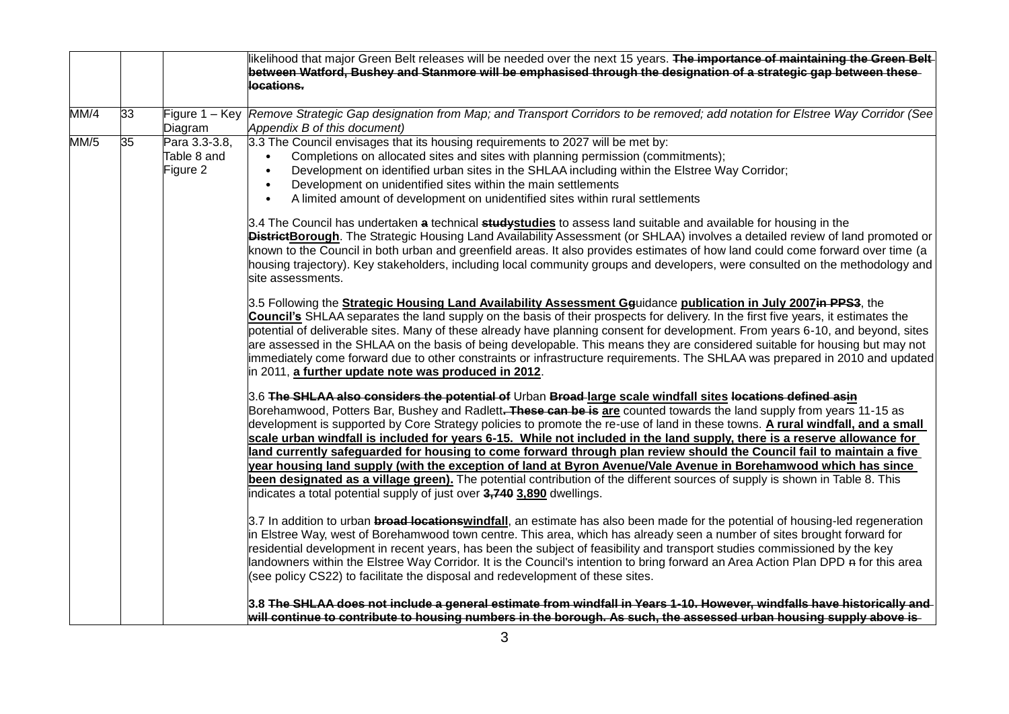|      |    |                                          | likelihood that major Green Belt releases will be needed over the next 15 years. The importance of maintaining the Green Belt-<br>between Watford, Bushey and Stanmore will be emphasised through the designation of a strategic gap between these<br>locations.                                                                                                                                                                                                                                                                                                                                                                                                                                                                                                                                                                                                                                                                                         |
|------|----|------------------------------------------|----------------------------------------------------------------------------------------------------------------------------------------------------------------------------------------------------------------------------------------------------------------------------------------------------------------------------------------------------------------------------------------------------------------------------------------------------------------------------------------------------------------------------------------------------------------------------------------------------------------------------------------------------------------------------------------------------------------------------------------------------------------------------------------------------------------------------------------------------------------------------------------------------------------------------------------------------------|
| MM/4 | 33 | Figure 1 - Key<br>Diagram                | Remove Strategic Gap designation from Map; and Transport Corridors to be removed; add notation for Elstree Way Corridor (See<br>Appendix B of this document)                                                                                                                                                                                                                                                                                                                                                                                                                                                                                                                                                                                                                                                                                                                                                                                             |
| MM/5 | 35 | Para 3.3-3.8,<br>Table 8 and<br>Figure 2 | 3.3 The Council envisages that its housing requirements to 2027 will be met by:<br>Completions on allocated sites and sites with planning permission (commitments);<br>$\bullet$<br>Development on identified urban sites in the SHLAA including within the Elstree Way Corridor;<br>$\bullet$<br>Development on unidentified sites within the main settlements<br>$\bullet$<br>A limited amount of development on unidentified sites within rural settlements<br>$\bullet$                                                                                                                                                                                                                                                                                                                                                                                                                                                                              |
|      |    |                                          | 3.4 The Council has undertaken a technical studystudies to assess land suitable and available for housing in the<br><b>DistrictBorough</b> . The Strategic Housing Land Availability Assessment (or SHLAA) involves a detailed review of land promoted or<br>known to the Council in both urban and greenfield areas. It also provides estimates of how land could come forward over time (a<br>housing trajectory). Key stakeholders, including local community groups and developers, were consulted on the methodology and<br>site assessments.                                                                                                                                                                                                                                                                                                                                                                                                       |
|      |    |                                          | 3.5 Following the <b>Strategic Housing Land Availability Assessment Gg</b> uidance publication in July 2007in PPS3, the<br>Council's SHLAA separates the land supply on the basis of their prospects for delivery. In the first five years, it estimates the<br>potential of deliverable sites. Many of these already have planning consent for development. From years 6-10, and beyond, sites<br>are assessed in the SHLAA on the basis of being developable. This means they are considered suitable for housing but may not<br>immediately come forward due to other constraints or infrastructure requirements. The SHLAA was prepared in 2010 and updated<br>in 2011, a further update note was produced in 2012.                                                                                                                                                                                                                                  |
|      |    |                                          | 3.6 The SHLAA also considers the potential of Urban Broad-large scale windfall sites locations defined asin<br>Borehamwood, Potters Bar, Bushey and Radlett. These can be is are counted towards the land supply from years 11-15 as<br>development is supported by Core Strategy policies to promote the re-use of land in these towns. A rural windfall, and a small<br>scale urban windfall is included for years 6-15. While not included in the land supply, there is a reserve allowance for<br>land currently safeguarded for housing to come forward through plan review should the Council fail to maintain a five<br>year housing land supply (with the exception of land at Byron Avenue/Vale Avenue in Borehamwood which has since<br>been designated as a village green). The potential contribution of the different sources of supply is shown in Table 8. This<br>indicates a total potential supply of just over 3,740 3,890 dwellings. |
|      |    |                                          | 3.7 In addition to urban broad locationswindfall, an estimate has also been made for the potential of housing-led regeneration<br>in Elstree Way, west of Borehamwood town centre. This area, which has already seen a number of sites brought forward for<br>residential development in recent years, has been the subject of feasibility and transport studies commissioned by the key<br>landowners within the Elstree Way Corridor. It is the Council's intention to bring forward an Area Action Plan DPD a for this area<br>(see policy CS22) to facilitate the disposal and redevelopment of these sites.                                                                                                                                                                                                                                                                                                                                         |
|      |    |                                          | 3.8 The SHLAA does not include a general estimate from windfall in Years 1-10. However, windfalls have historically and<br>will continue to contribute to housing numbers in the borough. As such, the assessed urban housing supply above is-                                                                                                                                                                                                                                                                                                                                                                                                                                                                                                                                                                                                                                                                                                           |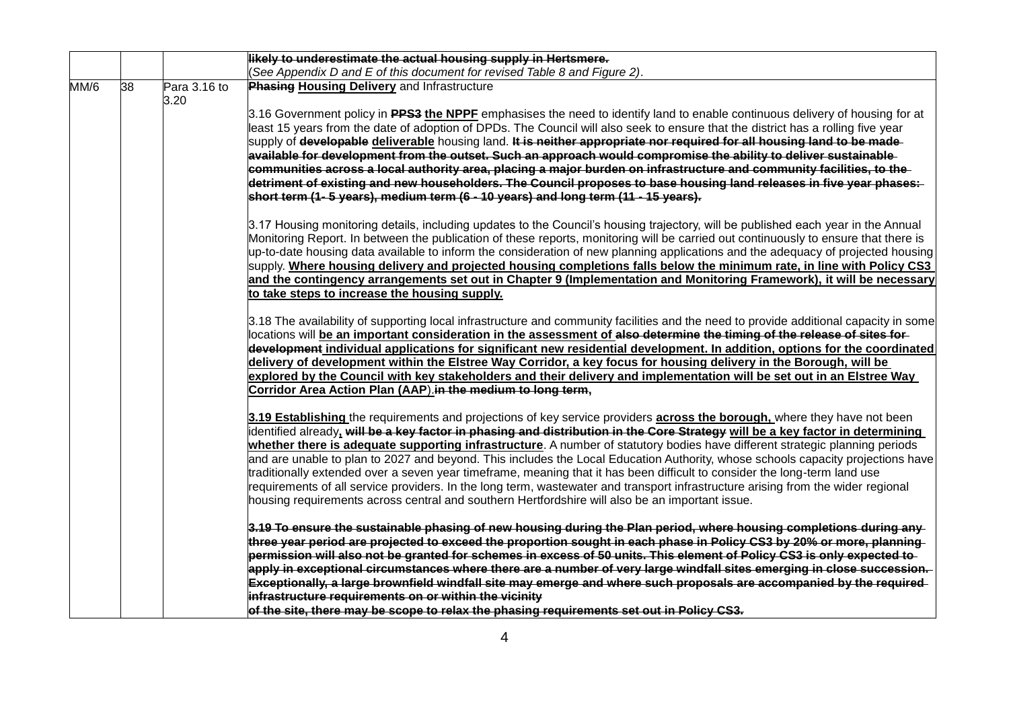|      |    |                      | likely to underestimate the actual housing supply in Hertsmere.                                                                                                                                                                                                                                                                                                                                                                                                                                                                                                                                                                                                                                                                                                                                                                                                                                                                                                                                                                                                                                                                                                                                                                                                     |
|------|----|----------------------|---------------------------------------------------------------------------------------------------------------------------------------------------------------------------------------------------------------------------------------------------------------------------------------------------------------------------------------------------------------------------------------------------------------------------------------------------------------------------------------------------------------------------------------------------------------------------------------------------------------------------------------------------------------------------------------------------------------------------------------------------------------------------------------------------------------------------------------------------------------------------------------------------------------------------------------------------------------------------------------------------------------------------------------------------------------------------------------------------------------------------------------------------------------------------------------------------------------------------------------------------------------------|
|      |    |                      | (See Appendix D and E of this document for revised Table 8 and Figure 2).                                                                                                                                                                                                                                                                                                                                                                                                                                                                                                                                                                                                                                                                                                                                                                                                                                                                                                                                                                                                                                                                                                                                                                                           |
| MM/6 | 38 | Para 3.16 to<br>3.20 | <b>Phasing Housing Delivery and Infrastructure</b>                                                                                                                                                                                                                                                                                                                                                                                                                                                                                                                                                                                                                                                                                                                                                                                                                                                                                                                                                                                                                                                                                                                                                                                                                  |
|      |    |                      | 3.16 Government policy in PPS3 the NPPF emphasises the need to identify land to enable continuous delivery of housing for at<br>least 15 years from the date of adoption of DPDs. The Council will also seek to ensure that the district has a rolling five year<br>supply of developable deliverable housing land. It is neither appropriate nor required for all housing land to be made-<br>available for development from the outset. Such an approach would compromise the ability to deliver sustainable<br>communities across a local authority area, placing a major burden on infrastructure and community facilities, to the<br>detriment of existing and new householders. The Council proposes to base housing land releases in five year phases:-<br>short term (1-5 years), medium term (6 - 10 years) and long term (11 - 15 years).<br>3.17 Housing monitoring details, including updates to the Council's housing trajectory, will be published each year in the Annual<br>Monitoring Report. In between the publication of these reports, monitoring will be carried out continuously to ensure that there is<br>up-to-date housing data available to inform the consideration of new planning applications and the adequacy of projected housing |
|      |    |                      | supply. Where housing delivery and projected housing completions falls below the minimum rate, in line with Policy CS3<br>and the contingency arrangements set out in Chapter 9 (Implementation and Monitoring Framework), it will be necessary                                                                                                                                                                                                                                                                                                                                                                                                                                                                                                                                                                                                                                                                                                                                                                                                                                                                                                                                                                                                                     |
|      |    |                      | to take steps to increase the housing supply.                                                                                                                                                                                                                                                                                                                                                                                                                                                                                                                                                                                                                                                                                                                                                                                                                                                                                                                                                                                                                                                                                                                                                                                                                       |
|      |    |                      | 3.18 The availability of supporting local infrastructure and community facilities and the need to provide additional capacity in some<br>locations will be an important consideration in the assessment of also determine the timing of the release of sites for<br>development individual applications for significant new residential development. In addition, options for the coordinated<br>delivery of development within the Elstree Way Corridor, a key focus for housing delivery in the Borough, will be<br>explored by the Council with key stakeholders and their delivery and implementation will be set out in an Elstree Way                                                                                                                                                                                                                                                                                                                                                                                                                                                                                                                                                                                                                         |
|      |    |                      | Corridor Area Action Plan (AAP).in the medium to long term,                                                                                                                                                                                                                                                                                                                                                                                                                                                                                                                                                                                                                                                                                                                                                                                                                                                                                                                                                                                                                                                                                                                                                                                                         |
|      |    |                      | 3.19 Establishing the requirements and projections of key service providers across the borough, where they have not been<br>identified already, <del>will be a key factor in phasing and distribution in the Core Strategy</del> will be a key factor in determining<br>whether there is adequate supporting infrastructure. A number of statutory bodies have different strategic planning periods<br>and are unable to plan to 2027 and beyond. This includes the Local Education Authority, whose schools capacity projections have<br>traditionally extended over a seven year timeframe, meaning that it has been difficult to consider the long-term land use<br>requirements of all service providers. In the long term, wastewater and transport infrastructure arising from the wider regional<br>housing requirements across central and southern Hertfordshire will also be an important issue.                                                                                                                                                                                                                                                                                                                                                          |
|      |    |                      | 3.19 To ensure the sustainable phasing of new housing during the Plan period, where housing completions during any<br>three year period are projected to exceed the proportion sought in each phase in Policy CS3 by 20% or more, planning<br>permission will also not be granted for schemes in excess of 50 units. This element of Policy CS3 is only expected to-                                                                                                                                                                                                                                                                                                                                                                                                                                                                                                                                                                                                                                                                                                                                                                                                                                                                                                |
|      |    |                      | apply in exceptional circumstances where there are a number of very large windfall sites emerging in close succession.<br>Exceptionally, a large brownfield windfall site may emerge and where such proposals are accompanied by the required<br>infrastructure requirements on or within the vicinity                                                                                                                                                                                                                                                                                                                                                                                                                                                                                                                                                                                                                                                                                                                                                                                                                                                                                                                                                              |
|      |    |                      | of the site, there may be scope to relax the phasing requirements set out in Policy CS3.                                                                                                                                                                                                                                                                                                                                                                                                                                                                                                                                                                                                                                                                                                                                                                                                                                                                                                                                                                                                                                                                                                                                                                            |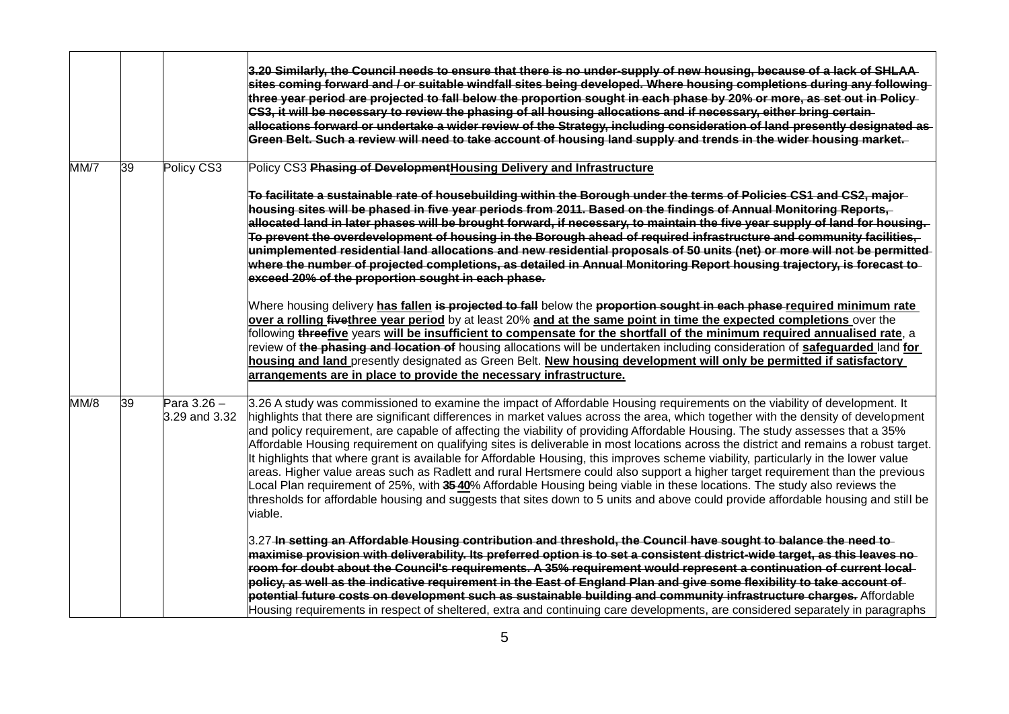|      |    |                              | 3.20 Similarly, the Council needs to ensure that there is no under-supply of new housing, because of a lack of SHLAA<br>sites coming forward and / or suitable windfall sites being developed. Where housing completions during any following<br>three year period are projected to fall below the proportion sought in each phase by 20% or more, as set out in Policy-<br>CS3, it will be necessary to review the phasing of all housing allocations and if necessary, either bring certain<br>allocations forward or undertake a wider review of the Strategy, including consideration of land presently designated as-<br>Green Belt. Such a review will need to take account of housing land supply and trends in the wider housing market.                                                                                                                                                                                                                                                                                                                                                |
|------|----|------------------------------|-------------------------------------------------------------------------------------------------------------------------------------------------------------------------------------------------------------------------------------------------------------------------------------------------------------------------------------------------------------------------------------------------------------------------------------------------------------------------------------------------------------------------------------------------------------------------------------------------------------------------------------------------------------------------------------------------------------------------------------------------------------------------------------------------------------------------------------------------------------------------------------------------------------------------------------------------------------------------------------------------------------------------------------------------------------------------------------------------|
| MM/7 | 39 | Policy CS3                   | Policy CS3 Phasing of Development Housing Delivery and Infrastructure                                                                                                                                                                                                                                                                                                                                                                                                                                                                                                                                                                                                                                                                                                                                                                                                                                                                                                                                                                                                                           |
|      |    |                              | To facilitate a sustainable rate of housebuilding within the Borough under the terms of Policies CS1 and CS2, major<br>housing sites will be phased in five year periods from 2011. Based on the findings of Annual Monitoring Reports,<br>allocated land in later phases will be brought forward, if necessary, to maintain the five year supply of land for housing.<br>To prevent the overdevelopment of housing in the Borough ahead of required infrastructure and community facilities,<br>unimplemented residential land allocations and new residential proposals of 50 units (net) or more will not be permitted<br>where the number of projected completions, as detailed in Annual Monitoring Report housing trajectory, is forecast to-<br>exceed 20% of the proportion sought in each phase.                                                                                                                                                                                                                                                                                       |
|      |    |                              | Where housing delivery has fallen is projected to fall below the proportion sought in each phase required minimum rate<br>over a rolling fivethree year period by at least 20% and at the same point in time the expected completions over the<br>following <del>three</del> five years will be insufficient to compensate for the shortfall of the minimum required annualised rate, a<br>review of the phasing and location of housing allocations will be undertaken including consideration of safeguarded land for<br>housing and land presently designated as Green Belt. New housing development will only be permitted if satisfactory<br>arrangements are in place to provide the necessary infrastructure.                                                                                                                                                                                                                                                                                                                                                                            |
| MM/8 | 39 | Para 3.26 -<br>3.29 and 3.32 | 3.26 A study was commissioned to examine the impact of Affordable Housing requirements on the viability of development. It<br>highlights that there are significant differences in market values across the area, which together with the density of development<br>and policy requirement, are capable of affecting the viability of providing Affordable Housing. The study assesses that a 35%<br>Affordable Housing requirement on qualifying sites is deliverable in most locations across the district and remains a robust target.<br>It highlights that where grant is available for Affordable Housing, this improves scheme viability, particularly in the lower value<br>areas. Higher value areas such as Radlett and rural Hertsmere could also support a higher target requirement than the previous<br>Local Plan requirement of 25%, with 35-40% Affordable Housing being viable in these locations. The study also reviews the<br>thresholds for affordable housing and suggests that sites down to 5 units and above could provide affordable housing and still be<br>viable. |
|      |    |                              | 3.27 In setting an Affordable Housing contribution and threshold, the Council have sought to balance the need to<br>maximise provision with deliverability. Its preferred option is to set a consistent district-wide target, as this leaves no<br>room for doubt about the Council's requirements. A 35% requirement would represent a continuation of current local-<br>policy, as well as the indicative requirement in the East of England Plan and give some flexibility to take account of<br>potential future costs on development such as sustainable building and community infrastructure charges. Affordable<br>Housing requirements in respect of sheltered, extra and continuing care developments, are considered separately in paragraphs                                                                                                                                                                                                                                                                                                                                        |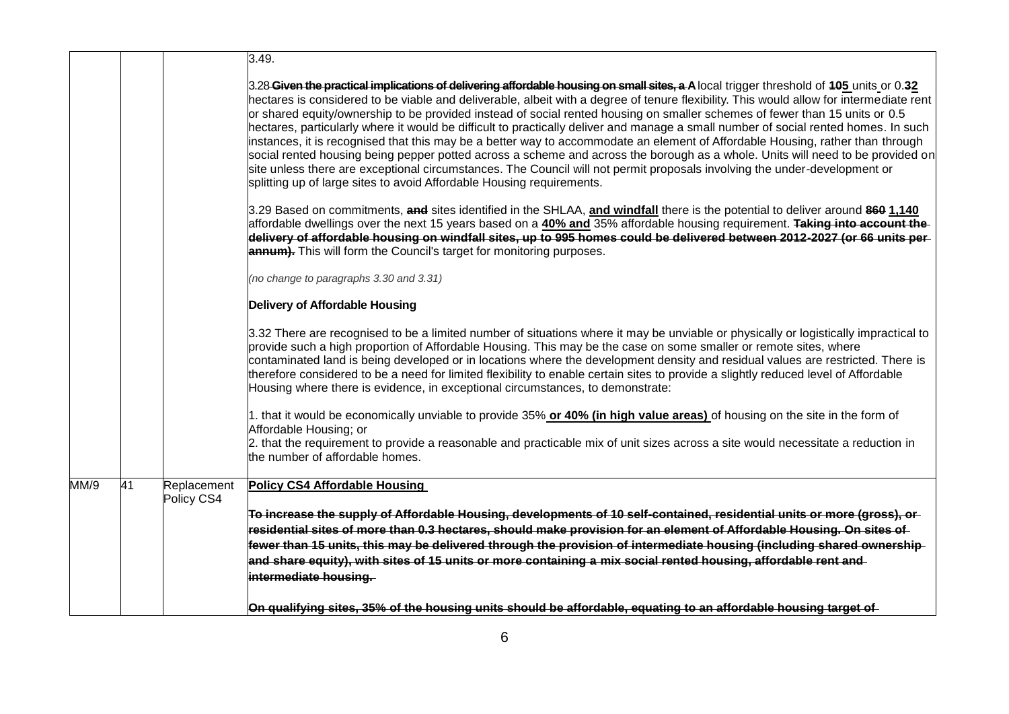|      |    |             | 3.49.                                                                                                                                                                                                                                                                                                                                                                                                                                                                                                                                                                                                                                                                                                                                                                                                                                                                                                                                                                                                                              |
|------|----|-------------|------------------------------------------------------------------------------------------------------------------------------------------------------------------------------------------------------------------------------------------------------------------------------------------------------------------------------------------------------------------------------------------------------------------------------------------------------------------------------------------------------------------------------------------------------------------------------------------------------------------------------------------------------------------------------------------------------------------------------------------------------------------------------------------------------------------------------------------------------------------------------------------------------------------------------------------------------------------------------------------------------------------------------------|
|      |    |             | 3.28 Given the practical implications of delivering affordable housing on small sites, a A local trigger threshold of 105 units or 0.32<br>hectares is considered to be viable and deliverable, albeit with a degree of tenure flexibility. This would allow for intermediate rent<br>or shared equity/ownership to be provided instead of social rented housing on smaller schemes of fewer than 15 units or 0.5<br>hectares, particularly where it would be difficult to practically deliver and manage a small number of social rented homes. In such<br>instances, it is recognised that this may be a better way to accommodate an element of Affordable Housing, rather than through<br>social rented housing being pepper potted across a scheme and across the borough as a whole. Units will need to be provided on<br>site unless there are exceptional circumstances. The Council will not permit proposals involving the under-development or<br>splitting up of large sites to avoid Affordable Housing requirements. |
|      |    |             | 3.29 Based on commitments, and sites identified in the SHLAA, and windfall there is the potential to deliver around 860 1,140<br>affordable dwellings over the next 15 years based on a 40% and 35% affordable housing requirement. Taking into account the<br>delivery of affordable housing on windfall sites, up to 995 homes could be delivered between 2012-2027 (or 66 units per<br><b>annum).</b> This will form the Council's target for monitoring purposes.                                                                                                                                                                                                                                                                                                                                                                                                                                                                                                                                                              |
|      |    |             | (no change to paragraphs 3.30 and 3.31)                                                                                                                                                                                                                                                                                                                                                                                                                                                                                                                                                                                                                                                                                                                                                                                                                                                                                                                                                                                            |
|      |    |             | <b>Delivery of Affordable Housing</b>                                                                                                                                                                                                                                                                                                                                                                                                                                                                                                                                                                                                                                                                                                                                                                                                                                                                                                                                                                                              |
|      |    |             | 3.32 There are recognised to be a limited number of situations where it may be unviable or physically or logistically impractical to<br>provide such a high proportion of Affordable Housing. This may be the case on some smaller or remote sites, where<br>contaminated land is being developed or in locations where the development density and residual values are restricted. There is<br>therefore considered to be a need for limited flexibility to enable certain sites to provide a slightly reduced level of Affordable<br>Housing where there is evidence, in exceptional circumstances, to demonstrate:                                                                                                                                                                                                                                                                                                                                                                                                              |
|      |    |             | 1. that it would be economically unviable to provide 35% or 40% (in high value areas) of housing on the site in the form of<br>Affordable Housing; or<br>2. that the requirement to provide a reasonable and practicable mix of unit sizes across a site would necessitate a reduction in<br>the number of affordable homes.                                                                                                                                                                                                                                                                                                                                                                                                                                                                                                                                                                                                                                                                                                       |
| MM/9 | 41 | Replacement | <b>Policy CS4 Affordable Housing</b>                                                                                                                                                                                                                                                                                                                                                                                                                                                                                                                                                                                                                                                                                                                                                                                                                                                                                                                                                                                               |
|      |    | Policy CS4  | To increase the supply of Affordable Housing, developments of 10 self-contained, residential units or more (gross), or                                                                                                                                                                                                                                                                                                                                                                                                                                                                                                                                                                                                                                                                                                                                                                                                                                                                                                             |
|      |    |             | residential sites of more than 0.3 hectares, should make provision for an element of Affordable Housing. On sites of                                                                                                                                                                                                                                                                                                                                                                                                                                                                                                                                                                                                                                                                                                                                                                                                                                                                                                               |
|      |    |             | fewer than 15 units, this may be delivered through the provision of intermediate housing (including shared ownership                                                                                                                                                                                                                                                                                                                                                                                                                                                                                                                                                                                                                                                                                                                                                                                                                                                                                                               |
|      |    |             | and share equity), with sites of 15 units or more containing a mix social rented housing, affordable rent and<br>intermediate housing.                                                                                                                                                                                                                                                                                                                                                                                                                                                                                                                                                                                                                                                                                                                                                                                                                                                                                             |
|      |    |             | On qualifying sites, 35% of the housing units should be affordable, equating to an affordable housing target of                                                                                                                                                                                                                                                                                                                                                                                                                                                                                                                                                                                                                                                                                                                                                                                                                                                                                                                    |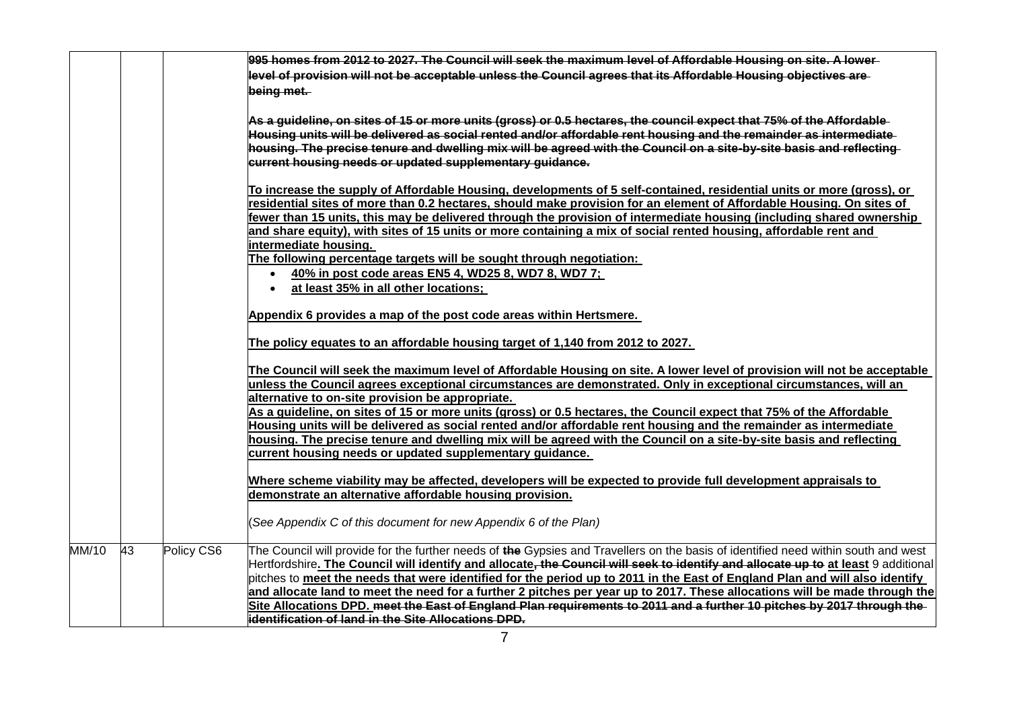|       |    |            | 995 homes from 2012 to 2027. The Council will seek the maximum level of Affordable Housing on site. A lower-                                                                                                                                        |
|-------|----|------------|-----------------------------------------------------------------------------------------------------------------------------------------------------------------------------------------------------------------------------------------------------|
|       |    |            | level of provision will not be acceptable unless the Council agrees that its Affordable Housing objectives are                                                                                                                                      |
|       |    |            | being met.                                                                                                                                                                                                                                          |
|       |    |            |                                                                                                                                                                                                                                                     |
|       |    |            | As a guideline, on sites of 15 or more units (gross) or 0.5 hectares, the council expect that 75% of the Affordable-<br>Housing units will be delivered as social rented and/or affordable rent housing and the remainder as intermediate           |
|       |    |            | housing. The precise tenure and dwelling mix will be agreed with the Council on a site-by-site basis and reflecting<br>current housing needs or updated supplementary guidance.                                                                     |
|       |    |            | To increase the supply of Affordable Housing, developments of 5 self-contained, residential units or more (gross), or                                                                                                                               |
|       |    |            | residential sites of more than 0.2 hectares, should make provision for an element of Affordable Housing. On sites of                                                                                                                                |
|       |    |            | fewer than 15 units, this may be delivered through the provision of intermediate housing (including shared ownership<br>and share equity), with sites of 15 units or more containing a mix of social rented housing, affordable rent and            |
|       |    |            | intermediate housing.                                                                                                                                                                                                                               |
|       |    |            | The following percentage targets will be sought through negotiation:                                                                                                                                                                                |
|       |    |            | 40% in post code areas EN5 4, WD25 8, WD7 8, WD7 7;                                                                                                                                                                                                 |
|       |    |            | at least 35% in all other locations;<br>$\bullet$                                                                                                                                                                                                   |
|       |    |            | Appendix 6 provides a map of the post code areas within Hertsmere.                                                                                                                                                                                  |
|       |    |            | The policy equates to an affordable housing target of 1,140 from 2012 to 2027.                                                                                                                                                                      |
|       |    |            | The Council will seek the maximum level of Affordable Housing on site. A lower level of provision will not be acceptable                                                                                                                            |
|       |    |            | unless the Council agrees exceptional circumstances are demonstrated. Only in exceptional circumstances, will an                                                                                                                                    |
|       |    |            | alternative to on-site provision be appropriate.<br>As a guideline, on sites of 15 or more units (gross) or 0.5 hectares, the Council expect that 75% of the Affordable                                                                             |
|       |    |            | Housing units will be delivered as social rented and/or affordable rent housing and the remainder as intermediate                                                                                                                                   |
|       |    |            | housing. The precise tenure and dwelling mix will be agreed with the Council on a site-by-site basis and reflecting                                                                                                                                 |
|       |    |            | current housing needs or updated supplementary guidance.                                                                                                                                                                                            |
|       |    |            | Where scheme viability may be affected, developers will be expected to provide full development appraisals to                                                                                                                                       |
|       |    |            | demonstrate an alternative affordable housing provision.                                                                                                                                                                                            |
|       |    |            |                                                                                                                                                                                                                                                     |
|       |    |            | (See Appendix C of this document for new Appendix 6 of the Plan)                                                                                                                                                                                    |
| MM/10 | 43 | Policy CS6 | The Council will provide for the further needs of the Gypsies and Travellers on the basis of identified need within south and west                                                                                                                  |
|       |    |            | Hertfordshire. The Council will identify and allocate, the Council will seek to identify and allocate up to at least 9 additional                                                                                                                   |
|       |    |            | pitches to meet the needs that were identified for the period up to 2011 in the East of England Plan and will also identify                                                                                                                         |
|       |    |            | and allocate land to meet the need for a further 2 pitches per year up to 2017. These allocations will be made through the<br>Site Allocations DPD, meet the East of England Plan requirements to 2011 and a further 10 pitches by 2017 through the |
|       |    |            | identification of land in the Site Allocations DPD.                                                                                                                                                                                                 |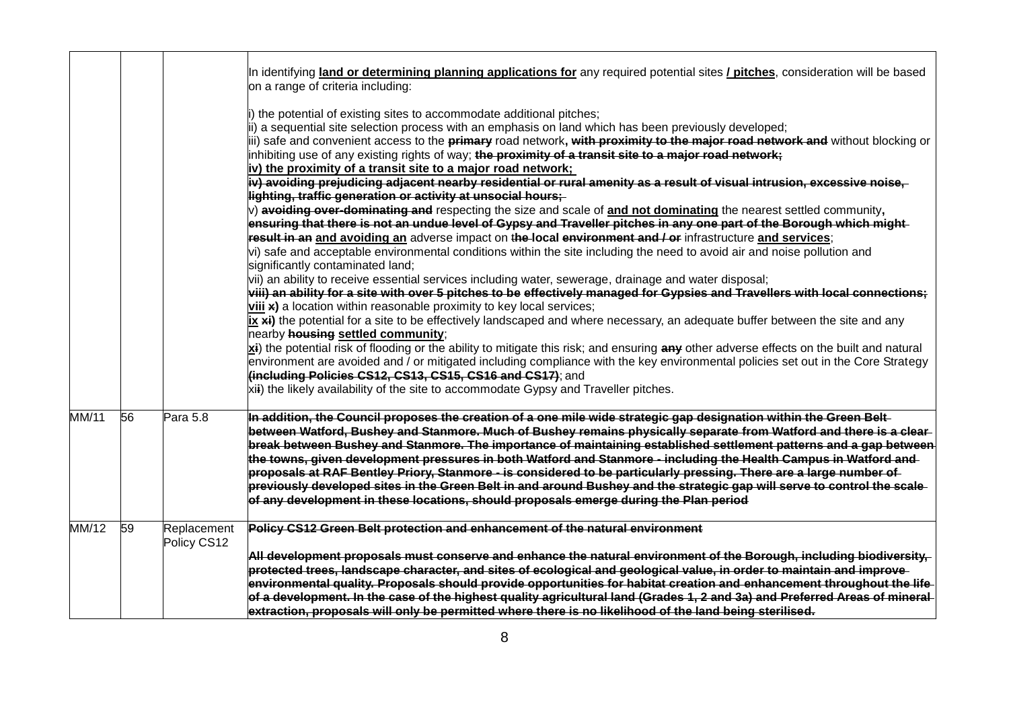|                           |    |                            | In identifying land or determining planning applications for any required potential sites / pitches, consideration will be based<br>on a range of criteria including:                                                                                                                                                                                                                                                                                                                                                                                                                                                                                                                                                                                                                                                                                                                                                                                                                                                                                                                                                                                                                                                                                                                                                                                                                                                                                                                                      |
|---------------------------|----|----------------------------|------------------------------------------------------------------------------------------------------------------------------------------------------------------------------------------------------------------------------------------------------------------------------------------------------------------------------------------------------------------------------------------------------------------------------------------------------------------------------------------------------------------------------------------------------------------------------------------------------------------------------------------------------------------------------------------------------------------------------------------------------------------------------------------------------------------------------------------------------------------------------------------------------------------------------------------------------------------------------------------------------------------------------------------------------------------------------------------------------------------------------------------------------------------------------------------------------------------------------------------------------------------------------------------------------------------------------------------------------------------------------------------------------------------------------------------------------------------------------------------------------------|
|                           |    |                            | i) the potential of existing sites to accommodate additional pitches;<br>ii) a sequential site selection process with an emphasis on land which has been previously developed;<br>iii) safe and convenient access to the <b>primary</b> road network, with proximity to the major road network and without blocking or<br>inhibiting use of any existing rights of way; the proximity of a transit site to a major road network;<br>iv) the proximity of a transit site to a major road network;                                                                                                                                                                                                                                                                                                                                                                                                                                                                                                                                                                                                                                                                                                                                                                                                                                                                                                                                                                                                           |
|                           |    |                            | iv) avoiding prejudicing adjacent nearby residential or rural amenity as a result of visual intrusion, excessive noise,<br>lighting, traffic generation or activity at unsocial hours;                                                                                                                                                                                                                                                                                                                                                                                                                                                                                                                                                                                                                                                                                                                                                                                                                                                                                                                                                                                                                                                                                                                                                                                                                                                                                                                     |
|                           |    |                            | $\vert v \rangle$ avoiding over-dominating and respecting the size and scale of and not dominating the nearest settled community,<br>ensuring that there is not an undue level of Gypsy and Traveller pitches in any one part of the Borough which might-<br>result in an and avoiding an adverse impact on the-local environment and / or infrastructure and services;<br>vi) safe and acceptable environmental conditions within the site including the need to avoid air and noise pollution and<br>significantly contaminated land;<br>vii) an ability to receive essential services including water, sewerage, drainage and water disposal;<br>viii) an ability for a site with over 5 pitches to be effectively managed for Gypsies and Travellers with local connections;<br>$\overline{\text{viii}}$ a location within reasonable proximity to key local services;<br>$\overline{[x, x]}$ the potential for a site to be effectively landscaped and where necessary, an adequate buffer between the site and any<br>nearby <b>housing settled community</b> ;<br>xi) the potential risk of flooding or the ability to mitigate this risk; and ensuring any other adverse effects on the built and natural<br>environment are avoided and / or mitigated including compliance with the key environmental policies set out in the Core Strategy<br>(including Policies CS12, CS13, CS15, CS16 and CS17); and<br>xii) the likely availability of the site to accommodate Gypsy and Traveller pitches. |
| <b>MM/11</b>              | 56 | Para 5.8                   | In addition, the Council proposes the creation of a one mile wide strategic gap designation within the Green Belt-                                                                                                                                                                                                                                                                                                                                                                                                                                                                                                                                                                                                                                                                                                                                                                                                                                                                                                                                                                                                                                                                                                                                                                                                                                                                                                                                                                                         |
|                           |    |                            | between Watford, Bushey and Stanmore. Much of Bushey remains physically separate from Watford and there is a clear-<br>break between Bushey and Stanmore. The importance of maintaining established settlement patterns and a gap between<br>the towns, given development pressures in both Watford and Stanmore - including the Health Campus in Watford and<br>proposals at RAF Bentley Priory, Stanmore - is considered to be particularly pressing. There are a large number of<br>previously developed sites in the Green Belt in and around Bushey and the strategic gap will serve to control the scale<br>of any development in these locations, should proposals emerge during the Plan period                                                                                                                                                                                                                                                                                                                                                                                                                                                                                                                                                                                                                                                                                                                                                                                                    |
| $\overline{\text{MM}}/12$ | 59 | Replacement<br>Policy CS12 | Policy CS12 Green Belt protection and enhancement of the natural environment                                                                                                                                                                                                                                                                                                                                                                                                                                                                                                                                                                                                                                                                                                                                                                                                                                                                                                                                                                                                                                                                                                                                                                                                                                                                                                                                                                                                                               |
|                           |    |                            | All development proposals must conserve and enhance the natural environment of the Borough, including biodiversity,<br>protected trees, landscape character, and sites of ecological and geological value, in order to maintain and improve<br>environmental quality. Proposals should provide opportunities for habitat creation and enhancement throughout the life-<br>of a development. In the case of the highest quality agricultural land (Grades 1, 2 and 3a) and Preferred Areas of mineral<br>extraction, proposals will only be permitted where there is no likelihood of the land being sterilised.                                                                                                                                                                                                                                                                                                                                                                                                                                                                                                                                                                                                                                                                                                                                                                                                                                                                                            |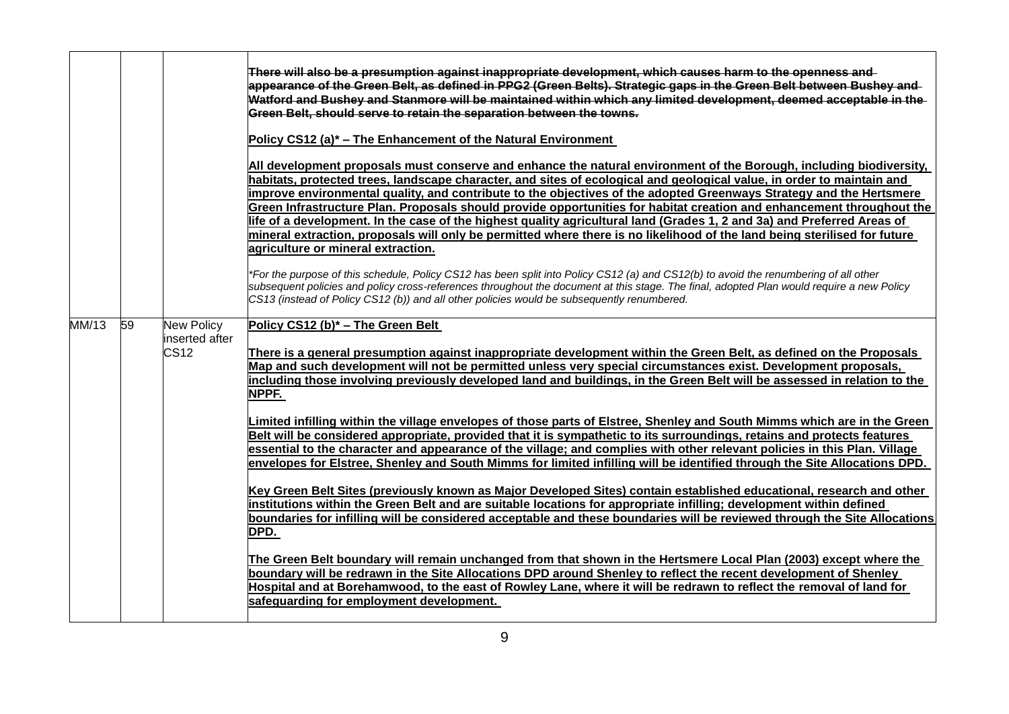|             |                                                  | There will also be a presumption against inappropriate development, which causes harm to the openness and<br>appearance of the Green Belt, as defined in PPG2 (Green Belts). Strategic gaps in the Green Belt between Bushey and<br>Watford and Bushey and Stanmore will be maintained within which any limited development, deemed acceptable in the<br>Green Belt, should serve to retain the separation between the towns.<br>Policy CS12 (a)* – The Enhancement of the Natural Environment                                                                                                                                                                                                                                                                                                                                                                                                                                                                                                                                                                                                                                                                                                                                                                                                                                                                                                                                                                                                                                                                                                                                                                                                                                    |
|-------------|--------------------------------------------------|-----------------------------------------------------------------------------------------------------------------------------------------------------------------------------------------------------------------------------------------------------------------------------------------------------------------------------------------------------------------------------------------------------------------------------------------------------------------------------------------------------------------------------------------------------------------------------------------------------------------------------------------------------------------------------------------------------------------------------------------------------------------------------------------------------------------------------------------------------------------------------------------------------------------------------------------------------------------------------------------------------------------------------------------------------------------------------------------------------------------------------------------------------------------------------------------------------------------------------------------------------------------------------------------------------------------------------------------------------------------------------------------------------------------------------------------------------------------------------------------------------------------------------------------------------------------------------------------------------------------------------------------------------------------------------------------------------------------------------------|
|             |                                                  | All development proposals must conserve and enhance the natural environment of the Borough, including biodiversity,<br>habitats, protected trees, landscape character, and sites of ecological and geological value, in order to maintain and<br>improve environmental quality, and contribute to the objectives of the adopted Greenways Strategy and the Hertsmere<br>Green Infrastructure Plan. Proposals should provide opportunities for habitat creation and enhancement throughout the<br>life of a development. In the case of the highest quality agricultural land (Grades 1, 2 and 3a) and Preferred Areas of<br>mineral extraction, proposals will only be permitted where there is no likelihood of the land being sterilised for future<br>agriculture or mineral extraction.                                                                                                                                                                                                                                                                                                                                                                                                                                                                                                                                                                                                                                                                                                                                                                                                                                                                                                                                       |
|             |                                                  | *For the purpose of this schedule, Policy CS12 has been split into Policy CS12 (a) and CS12(b) to avoid the renumbering of all other<br>subsequent policies and policy cross-references throughout the document at this stage. The final, adopted Plan would require a new Policy<br>CS13 (instead of Policy CS12 (b)) and all other policies would be subsequently renumbered.                                                                                                                                                                                                                                                                                                                                                                                                                                                                                                                                                                                                                                                                                                                                                                                                                                                                                                                                                                                                                                                                                                                                                                                                                                                                                                                                                   |
| 59<br>MM/13 | New Policy<br>inserted after<br>CS <sub>12</sub> | Policy CS12 (b)* - The Green Belt<br>There is a general presumption against inappropriate development within the Green Belt, as defined on the Proposals<br>Map and such development will not be permitted unless very special circumstances exist. Development proposals,<br>including those involving previously developed land and buildings, in the Green Belt will be assessed in relation to the<br>NPPF.<br>Limited infilling within the village envelopes of those parts of Elstree, Shenley and South Mimms which are in the Green<br>Belt will be considered appropriate, provided that it is sympathetic to its surroundings, retains and protects features<br>essential to the character and appearance of the village; and complies with other relevant policies in this Plan. Village<br>envelopes for Elstree, Shenley and South Mimms for limited infilling will be identified through the Site Allocations DPD.<br>Key Green Belt Sites (previously known as Major Developed Sites) contain established educational, research and other<br>institutions within the Green Belt and are suitable locations for appropriate infilling; development within defined<br>boundaries for infilling will be considered acceptable and these boundaries will be reviewed through the Site Allocations<br>DPD.<br>The Green Belt boundary will remain unchanged from that shown in the Hertsmere Local Plan (2003) except where the<br>boundary will be redrawn in the Site Allocations DPD around Shenley to reflect the recent development of Shenley<br>Hospital and at Borehamwood, to the east of Rowley Lane, where it will be redrawn to reflect the removal of land for<br>safeguarding for employment development. |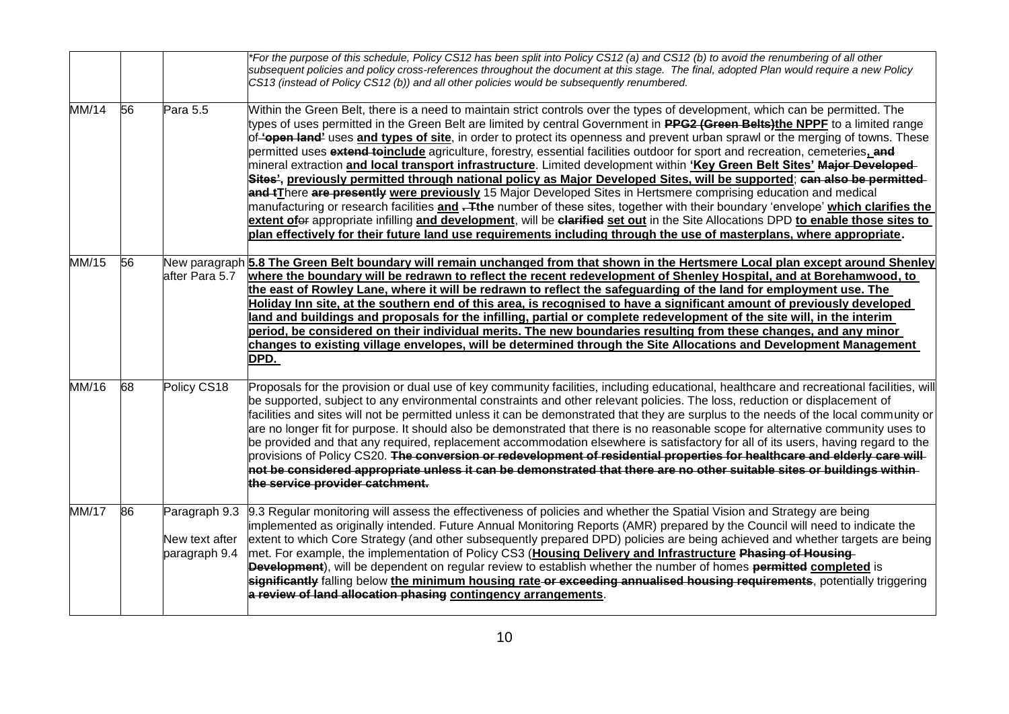|              |                 |                                 | *For the purpose of this schedule, Policy CS12 has been split into Policy CS12 (a) and CS12 (b) to avoid the renumbering of all other<br>subsequent policies and policy cross-references throughout the document at this stage. The final, adopted Plan would require a new Policy<br>CS13 (instead of Policy CS12 (b)) and all other policies would be subsequently renumbered.                                                                                                                                                                                                                                                                                                                                                                                                                                                                                                                                                                                                                                                                                                                                                                                                                                                                                                                                |
|--------------|-----------------|---------------------------------|-----------------------------------------------------------------------------------------------------------------------------------------------------------------------------------------------------------------------------------------------------------------------------------------------------------------------------------------------------------------------------------------------------------------------------------------------------------------------------------------------------------------------------------------------------------------------------------------------------------------------------------------------------------------------------------------------------------------------------------------------------------------------------------------------------------------------------------------------------------------------------------------------------------------------------------------------------------------------------------------------------------------------------------------------------------------------------------------------------------------------------------------------------------------------------------------------------------------------------------------------------------------------------------------------------------------|
| MM/14        | $\overline{56}$ | Para 5.5                        | Within the Green Belt, there is a need to maintain strict controls over the types of development, which can be permitted. The<br>types of uses permitted in the Green Belt are limited by central Government in PPG2 (Green Belts)the NPPF to a limited range<br>of-topen land' uses and types of site, in order to protect its openness and prevent urban sprawl or the merging of towns. These<br>permitted uses extend toinclude agriculture, forestry, essential facilities outdoor for sport and recreation, cemeteries, and<br>mineral extraction and local transport infrastructure. Limited development within 'Key Green Belt Sites' Major Developed-<br>Sites', previously permitted through national policy as Major Developed Sites, will be supported; can also be permitted-<br>and tThere are presently were previously 15 Major Developed Sites in Hertsmere comprising education and medical<br>manufacturing or research facilities and -Tthe number of these sites, together with their boundary 'envelope' which clarifies the<br>extent ofer appropriate infilling and development, will be clarified set out in the Site Allocations DPD to enable those sites to<br>plan effectively for their future land use requirements including through the use of masterplans, where appropriate. |
| MM/15        | 56              | after Para 5.7                  | New paragraph 5.8 The Green Belt boundary will remain unchanged from that shown in the Hertsmere Local plan except around Shenley<br>where the boundary will be redrawn to reflect the recent redevelopment of Shenley Hospital, and at Borehamwood, to<br>the east of Rowley Lane, where it will be redrawn to reflect the safeguarding of the land for employment use. The<br>Holiday Inn site, at the southern end of this area, is recognised to have a significant amount of previously developed<br>land and buildings and proposals for the infilling, partial or complete redevelopment of the site will, in the interim<br>period, be considered on their individual merits. The new boundaries resulting from these changes, and any minor<br>changes to existing village envelopes, will be determined through the Site Allocations and Development Management<br>DPD.                                                                                                                                                                                                                                                                                                                                                                                                                               |
| MM/16        | 68              | Policy CS18                     | Proposals for the provision or dual use of key community facilities, including educational, healthcare and recreational facilities, will<br>be supported, subject to any environmental constraints and other relevant policies. The loss, reduction or displacement of<br>facilities and sites will not be permitted unless it can be demonstrated that they are surplus to the needs of the local community or<br>are no longer fit for purpose. It should also be demonstrated that there is no reasonable scope for alternative community uses to<br>be provided and that any required, replacement accommodation elsewhere is satisfactory for all of its users, having regard to the<br>provisions of Policy CS20. <del>The conversion or redevelopment of residential properties for healthcare and elderly care will-</del><br>not be considered appropriate unless it can be demonstrated that there are no other suitable sites or buildings within<br>the service provider catchment.                                                                                                                                                                                                                                                                                                                 |
| <b>MM/17</b> | $\overline{86}$ | New text after<br>paragraph 9.4 | Paragraph 9.3 9.3 Regular monitoring will assess the effectiveness of policies and whether the Spatial Vision and Strategy are being<br>implemented as originally intended. Future Annual Monitoring Reports (AMR) prepared by the Council will need to indicate the<br>extent to which Core Strategy (and other subsequently prepared DPD) policies are being achieved and whether targets are being<br>met. For example, the implementation of Policy CS3 (Housing Delivery and Infrastructure Phasing of Housing-<br><b>Development</b> ), will be dependent on regular review to establish whether the number of homes permitted completed is<br>significantly falling below the minimum housing rate or exceeding annualised housing requirements, potentially triggering<br>a review of land allocation phasing contingency arrangements.                                                                                                                                                                                                                                                                                                                                                                                                                                                                 |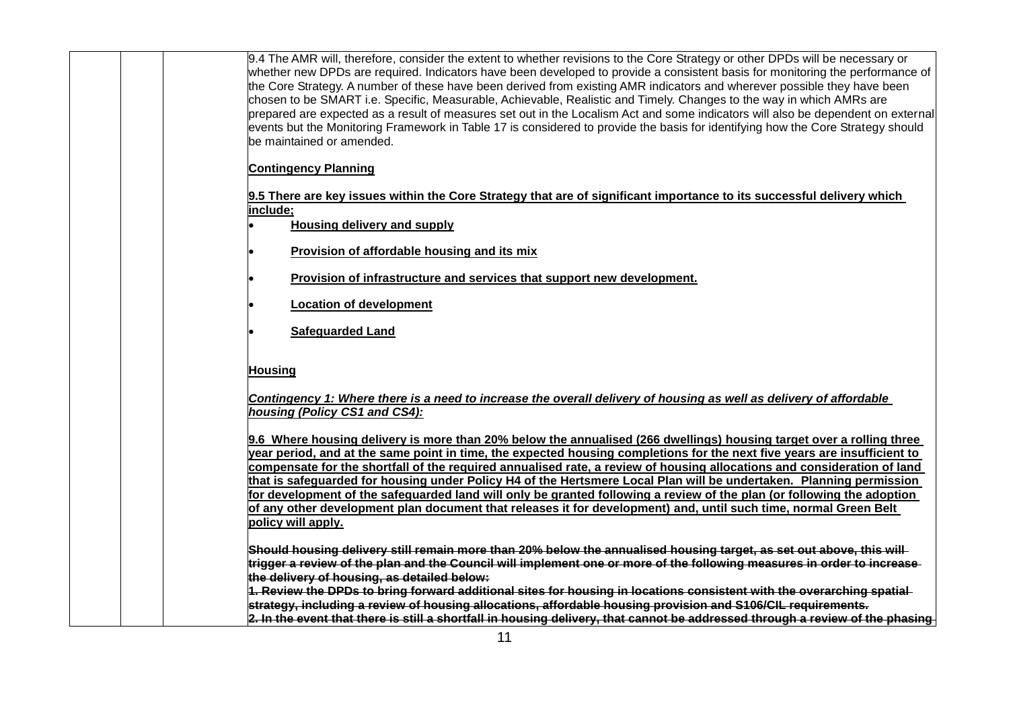| 9.4 The AMR will, therefore, consider the extent to whether revisions to the Core Strategy or other DPDs will be necessary or<br>whether new DPDs are required. Indicators have been developed to provide a consistent basis for monitoring the performance of<br>the Core Strategy. A number of these have been derived from existing AMR indicators and wherever possible they have been<br>chosen to be SMART i.e. Specific, Measurable, Achievable, Realistic and Timely. Changes to the way in which AMRs are<br>prepared are expected as a result of measures set out in the Localism Act and some indicators will also be dependent on external<br>events but the Monitoring Framework in Table 17 is considered to provide the basis for identifying how the Core Strategy should<br>be maintained or amended. |
|------------------------------------------------------------------------------------------------------------------------------------------------------------------------------------------------------------------------------------------------------------------------------------------------------------------------------------------------------------------------------------------------------------------------------------------------------------------------------------------------------------------------------------------------------------------------------------------------------------------------------------------------------------------------------------------------------------------------------------------------------------------------------------------------------------------------|
| <b>Contingency Planning</b>                                                                                                                                                                                                                                                                                                                                                                                                                                                                                                                                                                                                                                                                                                                                                                                            |
| 9.5 There are key issues within the Core Strategy that are of significant importance to its successful delivery which<br>include:                                                                                                                                                                                                                                                                                                                                                                                                                                                                                                                                                                                                                                                                                      |
| <b>Housing delivery and supply</b>                                                                                                                                                                                                                                                                                                                                                                                                                                                                                                                                                                                                                                                                                                                                                                                     |
| Provision of affordable housing and its mix                                                                                                                                                                                                                                                                                                                                                                                                                                                                                                                                                                                                                                                                                                                                                                            |
| Provision of infrastructure and services that support new development.                                                                                                                                                                                                                                                                                                                                                                                                                                                                                                                                                                                                                                                                                                                                                 |
| <b>Location of development</b>                                                                                                                                                                                                                                                                                                                                                                                                                                                                                                                                                                                                                                                                                                                                                                                         |
| <b>Safeguarded Land</b>                                                                                                                                                                                                                                                                                                                                                                                                                                                                                                                                                                                                                                                                                                                                                                                                |
|                                                                                                                                                                                                                                                                                                                                                                                                                                                                                                                                                                                                                                                                                                                                                                                                                        |
| <b>Housing</b>                                                                                                                                                                                                                                                                                                                                                                                                                                                                                                                                                                                                                                                                                                                                                                                                         |
| Contingency 1: Where there is a need to increase the overall delivery of housing as well as delivery of affordable<br>housing (Policy CS1 and CS4):                                                                                                                                                                                                                                                                                                                                                                                                                                                                                                                                                                                                                                                                    |
| 9.6 Where housing delivery is more than 20% below the annualised (266 dwellings) housing target over a rolling three<br>year period, and at the same point in time, the expected housing completions for the next five years are insufficient to<br>compensate for the shortfall of the required annualised rate, a review of housing allocations and consideration of land                                                                                                                                                                                                                                                                                                                                                                                                                                            |
| that is safeguarded for housing under Policy H4 of the Hertsmere Local Plan will be undertaken. Planning permission<br>for development of the safeguarded land will only be granted following a review of the plan (or following the adoption<br>of any other development plan document that releases it for development) and, until such time, normal Green Belt<br>policy will apply.                                                                                                                                                                                                                                                                                                                                                                                                                                |
| Should housing delivery still remain more than 20% below the annualised housing target, as set out above, this will<br>trigger a review of the plan and the Council will implement one or more of the following measures in order to increase<br>the delivery of housing, as detailed below:                                                                                                                                                                                                                                                                                                                                                                                                                                                                                                                           |
| 1. Review the DPDs to bring forward additional sites for housing in locations consistent with the overarching spatial<br>strategy, including a review of housing allocations, affordable housing provision and S106/CIL requirements.<br>2. In the event that there is still a shortfall in housing delivery, that cannot be addressed through a review of the phasing                                                                                                                                                                                                                                                                                                                                                                                                                                                 |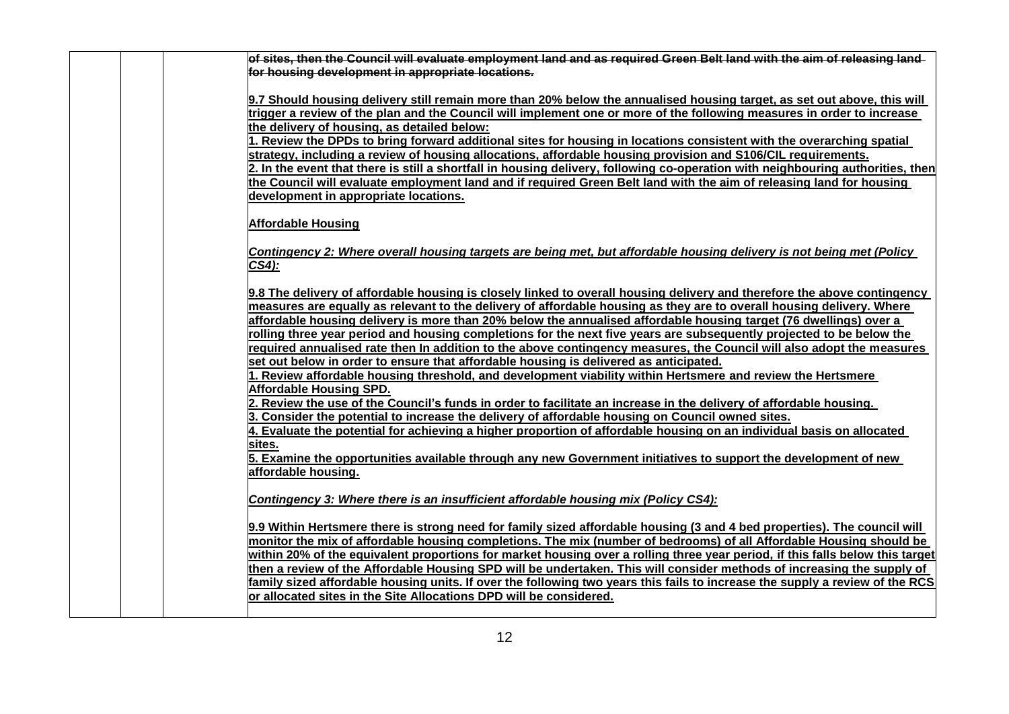| of sites, then the Council will evaluate employment land and as required Green Belt land with the aim of releasing land-                                                                                               |
|------------------------------------------------------------------------------------------------------------------------------------------------------------------------------------------------------------------------|
| for housing development in appropriate locations.                                                                                                                                                                      |
|                                                                                                                                                                                                                        |
| 9.7 Should housing delivery still remain more than 20% below the annualised housing target, as set out above, this will                                                                                                |
| trigger a review of the plan and the Council will implement one or more of the following measures in order to increase                                                                                                 |
| the delivery of housing, as detailed below:                                                                                                                                                                            |
| 1. Review the DPDs to bring forward additional sites for housing in locations consistent with the overarching spatial                                                                                                  |
| strategy, including a review of housing allocations, affordable housing provision and S106/CIL requirements.                                                                                                           |
| 2. In the event that there is still a shortfall in housing delivery, following co-operation with neighbouring authorities, then                                                                                        |
| the Council will evaluate employment land and if required Green Belt land with the aim of releasing land for housing                                                                                                   |
| development in appropriate locations.                                                                                                                                                                                  |
|                                                                                                                                                                                                                        |
| <b>Affordable Housing</b>                                                                                                                                                                                              |
|                                                                                                                                                                                                                        |
| Contingency 2: Where overall housing targets are being met, but affordable housing delivery is not being met (Policy                                                                                                   |
| $CS4$ ):                                                                                                                                                                                                               |
|                                                                                                                                                                                                                        |
| 9.8 The delivery of affordable housing is closely linked to overall housing delivery and therefore the above contingency                                                                                               |
| measures are equally as relevant to the delivery of affordable housing as they are to overall housing delivery. Where                                                                                                  |
| affordable housing delivery is more than 20% below the annualised affordable housing target (76 dwellings) over a                                                                                                      |
| rolling three year period and housing completions for the next five years are subsequently projected to be below the                                                                                                   |
| required annualised rate then In addition to the above contingency measures, the Council will also adopt the measures                                                                                                  |
| set out below in order to ensure that affordable housing is delivered as anticipated.                                                                                                                                  |
| 1. Review affordable housing threshold, and development viability within Hertsmere and review the Hertsmere                                                                                                            |
| Affordable Housing SPD.                                                                                                                                                                                                |
| 2. Review the use of the Council's funds in order to facilitate an increase in the delivery of affordable housing.<br>3. Consider the potential to increase the delivery of affordable housing on Council owned sites. |
|                                                                                                                                                                                                                        |
| 4. Evaluate the potential for achieving a higher proportion of affordable housing on an individual basis on allocated<br>sites.                                                                                        |
| 5. Examine the opportunities available through any new Government initiatives to support the development of new                                                                                                        |
| affordable housing.                                                                                                                                                                                                    |
|                                                                                                                                                                                                                        |
| Contingency 3: Where there is an insufficient affordable housing mix (Policy CS4):                                                                                                                                     |
|                                                                                                                                                                                                                        |
| 9.9 Within Hertsmere there is strong need for family sized affordable housing (3 and 4 bed properties). The council will                                                                                               |
| monitor the mix of affordable housing completions. The mix (number of bedrooms) of all Affordable Housing should be                                                                                                    |
| within 20% of the equivalent proportions for market housing over a rolling three year period, if this falls below this target                                                                                          |
| then a review of the Affordable Housing SPD will be undertaken. This will consider methods of increasing the supply of                                                                                                 |
| family sized affordable housing units. If over the following two years this fails to increase the supply a review of the RCS                                                                                           |
| or allocated sites in the Site Allocations DPD will be considered.                                                                                                                                                     |
|                                                                                                                                                                                                                        |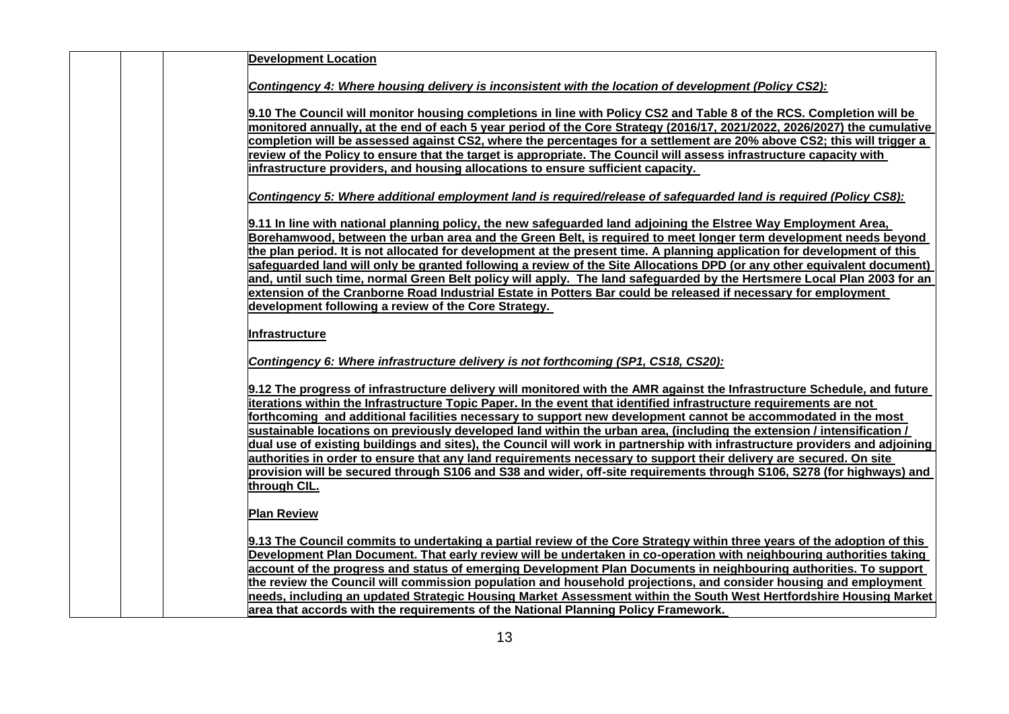| <b>Development Location</b>                                                                                                                                                                                                                           |
|-------------------------------------------------------------------------------------------------------------------------------------------------------------------------------------------------------------------------------------------------------|
| Contingency 4: Where housing delivery is inconsistent with the location of development (Policy CS2):                                                                                                                                                  |
|                                                                                                                                                                                                                                                       |
| 9.10 The Council will monitor housing completions in line with Policy CS2 and Table 8 of the RCS. Completion will be                                                                                                                                  |
| monitored annually, at the end of each 5 year period of the Core Strategy (2016/17, 2021/2022, 2026/2027) the cumulative                                                                                                                              |
| completion will be assessed against CS2, where the percentages for a settlement are 20% above CS2; this will trigger a<br>review of the Policy to ensure that the target is appropriate. The Council will assess infrastructure capacity with         |
| infrastructure providers, and housing allocations to ensure sufficient capacity.                                                                                                                                                                      |
|                                                                                                                                                                                                                                                       |
| Contingency 5: Where additional employment land is required/release of safeguarded land is required (Policy CS8):                                                                                                                                     |
| 9.11 In line with national planning policy, the new safeguarded land adjoining the Elstree Way Employment Area,                                                                                                                                       |
| Borehamwood, between the urban area and the Green Belt, is required to meet longer term development needs beyond                                                                                                                                      |
| the plan period. It is not allocated for development at the present time. A planning application for development of this                                                                                                                              |
| safeguarded land will only be granted following a review of the Site Allocations DPD (or any other equivalent document)                                                                                                                               |
| and, until such time, normal Green Belt policy will apply. The land safeguarded by the Hertsmere Local Plan 2003 for an<br>extension of the Cranborne Road Industrial Estate in Potters Bar could be released if necessary for employment             |
| development following a review of the Core Strategy.                                                                                                                                                                                                  |
|                                                                                                                                                                                                                                                       |
| Infrastructure                                                                                                                                                                                                                                        |
| Contingency 6: Where infrastructure delivery is not forthcoming (SP1, CS18, CS20):                                                                                                                                                                    |
| 9.12 The progress of infrastructure delivery will monitored with the AMR against the Infrastructure Schedule, and future                                                                                                                              |
| iterations within the Infrastructure Topic Paper. In the event that identified infrastructure requirements are not                                                                                                                                    |
| forthcoming and additional facilities necessary to support new development cannot be accommodated in the most                                                                                                                                         |
| sustainable locations on previously developed land within the urban area, (including the extension / intensification /<br>dual use of existing buildings and sites), the Council will work in partnership with infrastructure providers and adjoining |
| authorities in order to ensure that any land requirements necessary to support their delivery are secured. On site                                                                                                                                    |
| provision will be secured through S106 and S38 and wider, off-site requirements through S106, S278 (for highways) and                                                                                                                                 |
| through CIL.                                                                                                                                                                                                                                          |
| <b>Plan Review</b>                                                                                                                                                                                                                                    |
| 9.13 The Council commits to undertaking a partial review of the Core Strategy within three years of the adoption of this                                                                                                                              |
| Development Plan Document. That early review will be undertaken in co-operation with neighbouring authorities taking                                                                                                                                  |
| account of the progress and status of emerging Development Plan Documents in neighbouring authorities. To support                                                                                                                                     |
| the review the Council will commission population and household projections, and consider housing and employment                                                                                                                                      |
| needs, including an updated Strategic Housing Market Assessment within the South West Hertfordshire Housing Market                                                                                                                                    |
| area that accords with the requirements of the National Planning Policy Framework.                                                                                                                                                                    |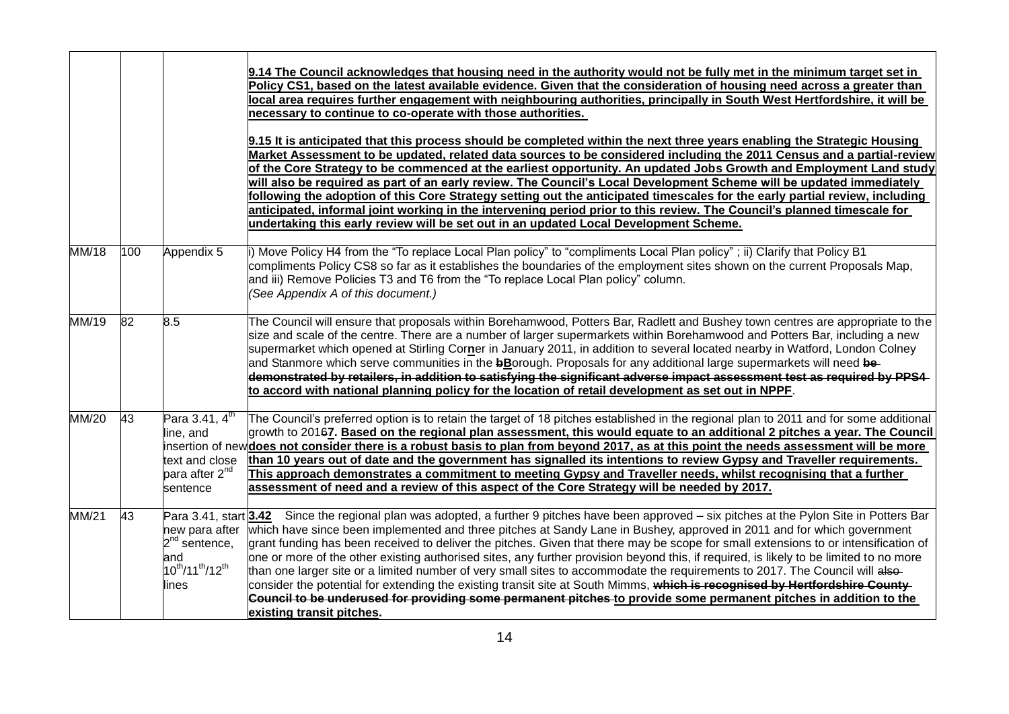|       |     |                                                                                           | 9.14 The Council acknowledges that housing need in the authority would not be fully met in the minimum target set in<br>Policy CS1, based on the latest available evidence. Given that the consideration of housing need across a greater than<br>local area requires further engagement with neighbouring authorities, principally in South West Hertfordshire, it will be<br>necessary to continue to co-operate with those authorities.<br>9.15 It is anticipated that this process should be completed within the next three years enabling the Strategic Housing<br>Market Assessment to be updated, related data sources to be considered including the 2011 Census and a partial-review<br>of the Core Strategy to be commenced at the earliest opportunity. An updated Jobs Growth and Employment Land study<br>will also be required as part of an early review. The Council's Local Development Scheme will be updated immediately<br>following the adoption of this Core Strategy setting out the anticipated timescales for the early partial review, including<br>anticipated, informal joint working in the intervening period prior to this review. The Council's planned timescale for<br>undertaking this early review will be set out in an updated Local Development Scheme. |
|-------|-----|-------------------------------------------------------------------------------------------|-------------------------------------------------------------------------------------------------------------------------------------------------------------------------------------------------------------------------------------------------------------------------------------------------------------------------------------------------------------------------------------------------------------------------------------------------------------------------------------------------------------------------------------------------------------------------------------------------------------------------------------------------------------------------------------------------------------------------------------------------------------------------------------------------------------------------------------------------------------------------------------------------------------------------------------------------------------------------------------------------------------------------------------------------------------------------------------------------------------------------------------------------------------------------------------------------------------------------------------------------------------------------------------------------|
| MM/18 | 100 | Appendix 5                                                                                | i) Move Policy H4 from the "To replace Local Plan policy" to "compliments Local Plan policy"; ii) Clarify that Policy B1<br>compliments Policy CS8 so far as it establishes the boundaries of the employment sites shown on the current Proposals Map,<br>and iii) Remove Policies T3 and T6 from the "To replace Local Plan policy" column.<br>(See Appendix A of this document.)                                                                                                                                                                                                                                                                                                                                                                                                                                                                                                                                                                                                                                                                                                                                                                                                                                                                                                              |
| MM/19 | 82  | 8.5                                                                                       | The Council will ensure that proposals within Borehamwood, Potters Bar, Radlett and Bushey town centres are appropriate to the<br>size and scale of the centre. There are a number of larger supermarkets within Borehamwood and Potters Bar, including a new<br>supermarket which opened at Stirling Corner in January 2011, in addition to several located nearby in Watford, London Colney<br>and Stanmore which serve communities in the bBorough. Proposals for any additional large supermarkets will need be-<br>demonstrated by retailers, in addition to satisfying the significant adverse impact assessment test as required by PPS4-<br>to accord with national planning policy for the location of retail development as set out in NPPF.                                                                                                                                                                                                                                                                                                                                                                                                                                                                                                                                          |
| MM/20 | 43  | Para 3.41, $4th$<br>line, and<br>text and close<br>para after 2 <sup>nd</sup><br>sentence | The Council's preferred option is to retain the target of 18 pitches established in the regional plan to 2011 and for some additional<br>growth to 20167. Based on the regional plan assessment, this would equate to an additional 2 pitches a year. The Council<br>insertion of new <b>does not consider there is a robust basis to plan from beyond 2017, as at this point the needs assessment will be more</b><br>than 10 years out of date and the government has signalled its intentions to review Gypsy and Traveller requirements.<br>This approach demonstrates a commitment to meeting Gypsy and Traveller needs, whilst recognising that a further<br>assessment of need and a review of this aspect of the Core Strategy will be needed by 2017.                                                                                                                                                                                                                                                                                                                                                                                                                                                                                                                                  |
| MM/21 | 43  | $2^{nd}$ sentence,<br>and<br>$10^{th}/11^{th}/12^{th}$<br>lines                           | Para 3.41, start 3.42 Since the regional plan was adopted, a further 9 pitches have been approved – six pitches at the Pylon Site in Potters Bar<br>new para after which have since been implemented and three pitches at Sandy Lane in Bushey, approved in 2011 and for which government<br>grant funding has been received to deliver the pitches. Given that there may be scope for small extensions to or intensification of<br>one or more of the other existing authorised sites, any further provision beyond this, if required, is likely to be limited to no more<br>than one larger site or a limited number of very small sites to accommodate the requirements to 2017. The Council will also-<br>consider the potential for extending the existing transit site at South Mimms, which is recognised by Hertfordshire County-<br>Council to be underused for providing some permanent pitches to provide some permanent pitches in addition to the<br>existing transit pitches.                                                                                                                                                                                                                                                                                                     |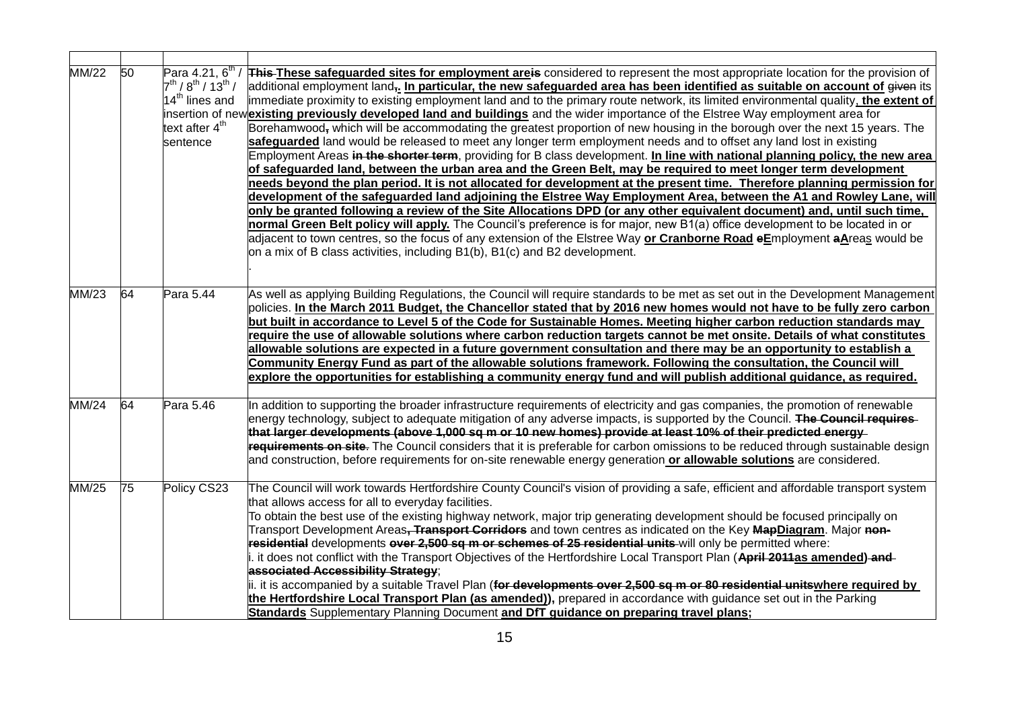| MM/22        | 50 | Para 4.21, $6^{th}$<br>$7^{th}$ / $8^{th}$ / $13^{th}$ /<br>$14th$ lines and<br>text after 4 <sup>th</sup><br>sentence | This These safeguarded sites for employment areis considered to represent the most appropriate location for the provision of<br>additional employment land <sub></sub> . In particular, the new safeguarded area has been identified as suitable on account of given its<br>immediate proximity to existing employment land and to the primary route network, its limited environmental quality, the extent of<br>insertion of newexisting previously developed land and buildings and the wider importance of the Elstree Way employment area for<br>Borehamwood, which will be accommodating the greatest proportion of new housing in the borough over the next 15 years. The<br>safeguarded land would be released to meet any longer term employment needs and to offset any land lost in existing<br>Employment Areas in the shorter term, providing for B class development. In line with national planning policy, the new area<br>of safeguarded land, between the urban area and the Green Belt, may be required to meet longer term development<br>needs beyond the plan period. It is not allocated for development at the present time. Therefore planning permission for<br>development of the safeguarded land adjoining the Elstree Way Employment Area, between the A1 and Rowley Lane, will<br>only be granted following a review of the Site Allocations DPD (or any other equivalent document) and, until such time,<br>normal Green Belt policy will apply. The Council's preference is for major, new B1(a) office development to be located in or<br>adjacent to town centres, so the focus of any extension of the Elstree Way or Cranborne Road eEmployment aAreas would be<br>on a mix of B class activities, including B1(b), B1(c) and B2 development. |
|--------------|----|------------------------------------------------------------------------------------------------------------------------|------------------------------------------------------------------------------------------------------------------------------------------------------------------------------------------------------------------------------------------------------------------------------------------------------------------------------------------------------------------------------------------------------------------------------------------------------------------------------------------------------------------------------------------------------------------------------------------------------------------------------------------------------------------------------------------------------------------------------------------------------------------------------------------------------------------------------------------------------------------------------------------------------------------------------------------------------------------------------------------------------------------------------------------------------------------------------------------------------------------------------------------------------------------------------------------------------------------------------------------------------------------------------------------------------------------------------------------------------------------------------------------------------------------------------------------------------------------------------------------------------------------------------------------------------------------------------------------------------------------------------------------------------------------------------------------------------------------------------------------------------------------------------------|
| MM/23        | 64 | Para 5.44                                                                                                              | As well as applying Building Regulations, the Council will require standards to be met as set out in the Development Management<br>policies. In the March 2011 Budget, the Chancellor stated that by 2016 new homes would not have to be fully zero carbon<br>but built in accordance to Level 5 of the Code for Sustainable Homes. Meeting higher carbon reduction standards may<br>require the use of allowable solutions where carbon reduction targets cannot be met onsite. Details of what constitutes<br>allowable solutions are expected in a future government consultation and there may be an opportunity to establish a<br>Community Energy Fund as part of the allowable solutions framework. Following the consultation, the Council will<br>explore the opportunities for establishing a community energy fund and will publish additional guidance, as required.                                                                                                                                                                                                                                                                                                                                                                                                                                                                                                                                                                                                                                                                                                                                                                                                                                                                                                   |
| MM/24        | 64 | Para 5.46                                                                                                              | In addition to supporting the broader infrastructure requirements of electricity and gas companies, the promotion of renewable<br>energy technology, subject to adequate mitigation of any adverse impacts, is supported by the Council. The Council requires-<br>that larger developments (above 1,000 sq m or 10 new homes) provide at least 10% of their predicted energy<br>requirements on site. The Council considers that it is preferable for carbon omissions to be reduced through sustainable design<br>and construction, before requirements for on-site renewable energy generation or allowable solutions are considered.                                                                                                                                                                                                                                                                                                                                                                                                                                                                                                                                                                                                                                                                                                                                                                                                                                                                                                                                                                                                                                                                                                                                            |
| <b>MM/25</b> | 75 | Policy CS23                                                                                                            | The Council will work towards Hertfordshire County Council's vision of providing a safe, efficient and affordable transport system<br>that allows access for all to everyday facilities.<br>To obtain the best use of the existing highway network, major trip generating development should be focused principally on<br>Transport Development Areas <del>, Transport Corridors</del> and town centres as indicated on the Key MapDiagram. Major non-<br>residential developments over 2,500 sq m or schemes of 25 residential units will only be permitted where:<br>it does not conflict with the Transport Objectives of the Hertfordshire Local Transport Plan (April 2011as amended) and<br>associated Accessibility Strategy:<br>ii. it is accompanied by a suitable Travel Plan ( <del>for developments over 2,500 sq m or 80 residential units</del> where required by<br>the Hertfordshire Local Transport Plan (as amended)), prepared in accordance with guidance set out in the Parking<br>Standards Supplementary Planning Document and DfT guidance on preparing travel plans;                                                                                                                                                                                                                                                                                                                                                                                                                                                                                                                                                                                                                                                                                      |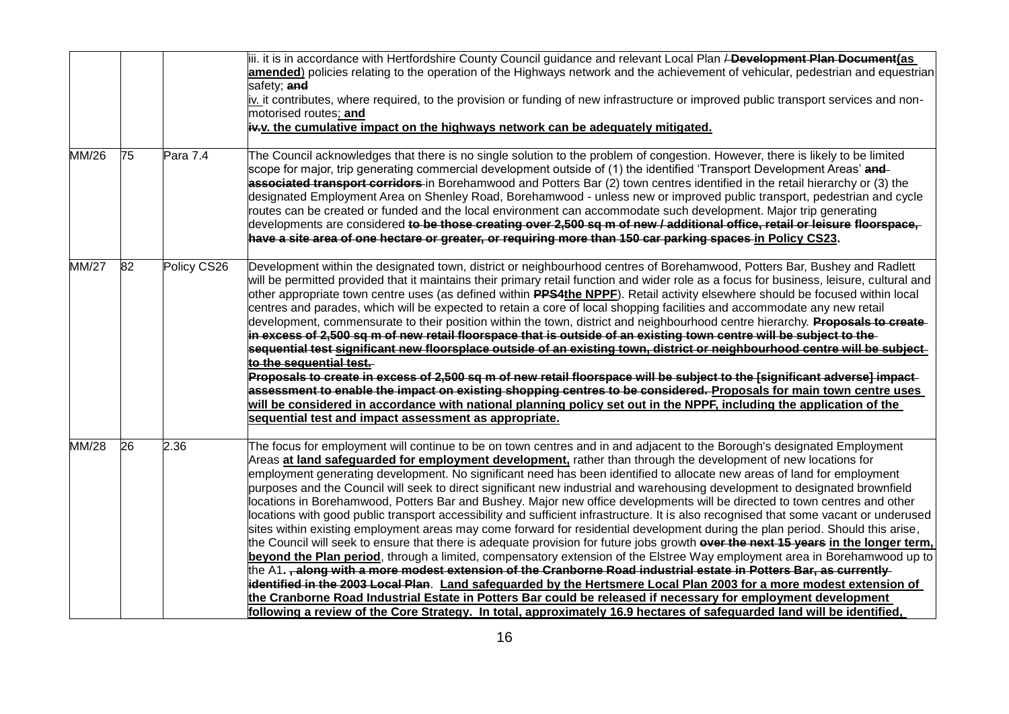|              |    |             | iii. it is in accordance with Hertfordshire County Council guidance and relevant Local Plan <del>/ Development Plan Document</del> (as<br>amended) policies relating to the operation of the Highways network and the achievement of vehicular, pedestrian and equestrian<br>safety; and<br>iv. it contributes, where required, to the provision or funding of new infrastructure or improved public transport services and non-<br>motorised routes; and<br>$\frac{1}{2}$ . the cumulative impact on the highways network can be adequately mitigated.                                                                                                                                                                                                                                                                                                                                                                                                                                                                                                                                                                                                                                                                                                                                                                                                                                                                                                                                                                                                                                                                                                                |
|--------------|----|-------------|------------------------------------------------------------------------------------------------------------------------------------------------------------------------------------------------------------------------------------------------------------------------------------------------------------------------------------------------------------------------------------------------------------------------------------------------------------------------------------------------------------------------------------------------------------------------------------------------------------------------------------------------------------------------------------------------------------------------------------------------------------------------------------------------------------------------------------------------------------------------------------------------------------------------------------------------------------------------------------------------------------------------------------------------------------------------------------------------------------------------------------------------------------------------------------------------------------------------------------------------------------------------------------------------------------------------------------------------------------------------------------------------------------------------------------------------------------------------------------------------------------------------------------------------------------------------------------------------------------------------------------------------------------------------|
| <b>MM/26</b> | 75 | Para 7.4    | The Council acknowledges that there is no single solution to the problem of congestion. However, there is likely to be limited<br>scope for major, trip generating commercial development outside of (1) the identified 'Transport Development Areas' and<br>associated transport corridors in Borehamwood and Potters Bar (2) town centres identified in the retail hierarchy or (3) the<br>designated Employment Area on Shenley Road, Borehamwood - unless new or improved public transport, pedestrian and cycle<br>routes can be created or funded and the local environment can accommodate such development. Major trip generating<br>developments are considered to be those creating over 2,500 sq m of new / additional office, retail or leisure floorspace,<br>have a site area of one hectare or greater, or requiring more than 150 car parking spaces in Policy CS23.                                                                                                                                                                                                                                                                                                                                                                                                                                                                                                                                                                                                                                                                                                                                                                                   |
| <b>MM/27</b> | 82 | Policy CS26 | Development within the designated town, district or neighbourhood centres of Borehamwood, Potters Bar, Bushey and Radlett<br>will be permitted provided that it maintains their primary retail function and wider role as a focus for business, leisure, cultural and<br>other appropriate town centre uses (as defined within PPS4the NPPF). Retail activity elsewhere should be focused within local<br>centres and parades, which will be expected to retain a core of local shopping facilities and accommodate any new retail<br>development, commensurate to their position within the town, district and neighbourhood centre hierarchy. Proposals to create-<br>in excess of 2,500 sq m of new retail floorspace that is outside of an existing town centre will be subject to the-<br>sequential test significant new floorsplace outside of an existing town, district or neighbourhood centre will be subject-<br>to the sequential test.<br>Proposals to create in excess of 2,500 sq m of new retail floorspace will be subject to the [significant adverse] impact-<br>assessment to enable the impact on existing shopping centres to be considered. Proposals for main town centre uses<br>will be considered in accordance with national planning policy set out in the NPPF, including the application of the<br>sequential test and impact assessment as appropriate.                                                                                                                                                                                                                                                                               |
| MM/28        | 26 | 2.36        | The focus for employment will continue to be on town centres and in and adjacent to the Borough's designated Employment<br>Areas at land safeguarded for employment development, rather than through the development of new locations for<br>employment generating development. No significant need has been identified to allocate new areas of land for employment<br>purposes and the Council will seek to direct significant new industrial and warehousing development to designated brownfield<br>locations in Borehamwood, Potters Bar and Bushey. Major new office developments will be directed to town centres and other<br>locations with good public transport accessibility and sufficient infrastructure. It is also recognised that some vacant or underused<br>sites within existing employment areas may come forward for residential development during the plan period. Should this arise,<br>the Council will seek to ensure that there is adequate provision for future jobs growth over the next 15 years in the longer term,<br>beyond the Plan period, through a limited, compensatory extension of the Elstree Way employment area in Borehamwood up to<br>the A1., along with a more modest extension of the Cranborne Road industrial estate in Potters Bar, as currently<br>identified in the 2003 Local Plan. Land safeguarded by the Hertsmere Local Plan 2003 for a more modest extension of<br>the Cranborne Road Industrial Estate in Potters Bar could be released if necessary for employment development<br>following a review of the Core Strategy. In total, approximately 16.9 hectares of safeguarded land will be identified, |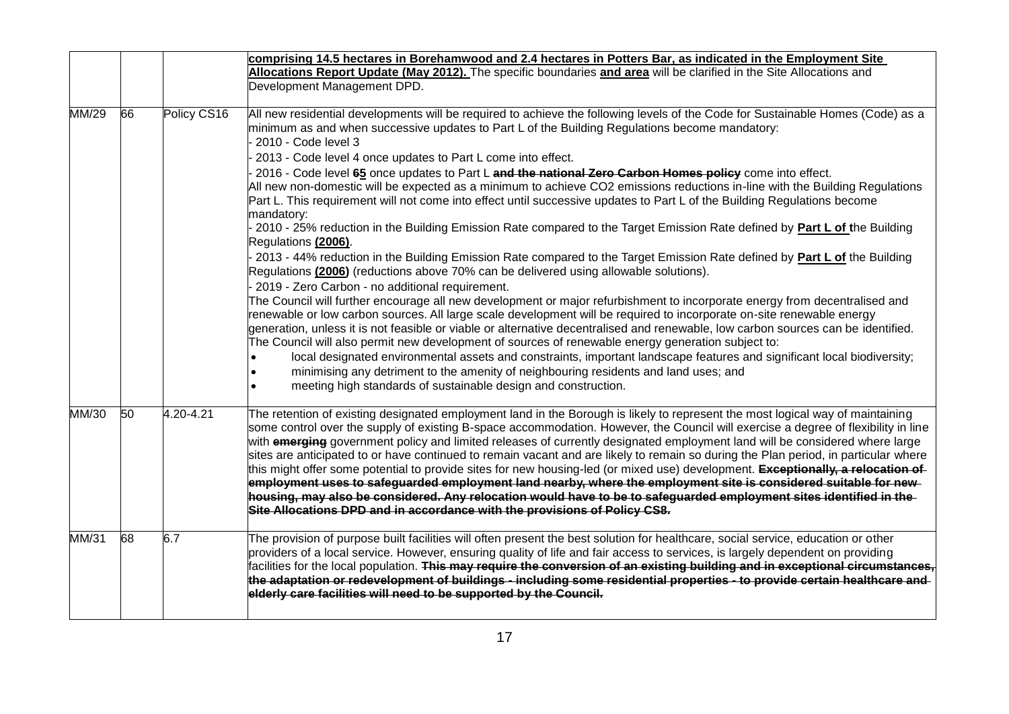|       |    |             | comprising 14.5 hectares in Borehamwood and 2.4 hectares in Potters Bar, as indicated in the Employment Site                                                                                                                                                                                                                                                                                                                                                                                                                                                                                                      |
|-------|----|-------------|-------------------------------------------------------------------------------------------------------------------------------------------------------------------------------------------------------------------------------------------------------------------------------------------------------------------------------------------------------------------------------------------------------------------------------------------------------------------------------------------------------------------------------------------------------------------------------------------------------------------|
|       |    |             | Allocations Report Update (May 2012). The specific boundaries and area will be clarified in the Site Allocations and                                                                                                                                                                                                                                                                                                                                                                                                                                                                                              |
|       |    |             | Development Management DPD.                                                                                                                                                                                                                                                                                                                                                                                                                                                                                                                                                                                       |
|       |    |             |                                                                                                                                                                                                                                                                                                                                                                                                                                                                                                                                                                                                                   |
| MM/29 | 66 | Policy CS16 | All new residential developments will be required to achieve the following levels of the Code for Sustainable Homes (Code) as a<br>minimum as and when successive updates to Part L of the Building Regulations become mandatory:                                                                                                                                                                                                                                                                                                                                                                                 |
|       |    |             | 2010 - Code level 3                                                                                                                                                                                                                                                                                                                                                                                                                                                                                                                                                                                               |
|       |    |             | 2013 - Code level 4 once updates to Part L come into effect.                                                                                                                                                                                                                                                                                                                                                                                                                                                                                                                                                      |
|       |    |             | 2016 - Code level 65 once updates to Part L and the national Zero Carbon Homes policy come into effect.                                                                                                                                                                                                                                                                                                                                                                                                                                                                                                           |
|       |    |             | All new non-domestic will be expected as a minimum to achieve CO2 emissions reductions in-line with the Building Regulations                                                                                                                                                                                                                                                                                                                                                                                                                                                                                      |
|       |    |             | Part L. This requirement will not come into effect until successive updates to Part L of the Building Regulations become<br>mandatory:                                                                                                                                                                                                                                                                                                                                                                                                                                                                            |
|       |    |             | 2010 - 25% reduction in the Building Emission Rate compared to the Target Emission Rate defined by Part L of the Building<br>Regulations (2006).                                                                                                                                                                                                                                                                                                                                                                                                                                                                  |
|       |    |             | 2013 - 44% reduction in the Building Emission Rate compared to the Target Emission Rate defined by Part L of the Building<br>Regulations (2006) (reductions above 70% can be delivered using allowable solutions).                                                                                                                                                                                                                                                                                                                                                                                                |
|       |    |             | 2019 - Zero Carbon - no additional requirement.                                                                                                                                                                                                                                                                                                                                                                                                                                                                                                                                                                   |
|       |    |             | The Council will further encourage all new development or major refurbishment to incorporate energy from decentralised and<br>renewable or low carbon sources. All large scale development will be required to incorporate on-site renewable energy<br>generation, unless it is not feasible or viable or alternative decentralised and renewable, low carbon sources can be identified.<br>The Council will also permit new development of sources of renewable energy generation subject to:                                                                                                                    |
|       |    |             |                                                                                                                                                                                                                                                                                                                                                                                                                                                                                                                                                                                                                   |
|       |    |             | local designated environmental assets and constraints, important landscape features and significant local biodiversity;                                                                                                                                                                                                                                                                                                                                                                                                                                                                                           |
|       |    |             | minimising any detriment to the amenity of neighbouring residents and land uses; and<br>meeting high standards of sustainable design and construction.                                                                                                                                                                                                                                                                                                                                                                                                                                                            |
|       |    |             |                                                                                                                                                                                                                                                                                                                                                                                                                                                                                                                                                                                                                   |
| MM/30 | 50 | 4.20-4.21   | The retention of existing designated employment land in the Borough is likely to represent the most logical way of maintaining<br>some control over the supply of existing B-space accommodation. However, the Council will exercise a degree of flexibility in line<br>with emerging government policy and limited releases of currently designated employment land will be considered where large<br>sites are anticipated to or have continued to remain vacant and are likely to remain so during the Plan period, in particular where                                                                        |
|       |    |             | this might offer some potential to provide sites for new housing-led (or mixed use) development. Exceptionally, a relocation of                                                                                                                                                                                                                                                                                                                                                                                                                                                                                   |
|       |    |             | employment uses to safeguarded employment land nearby, where the employment site is considered suitable for new                                                                                                                                                                                                                                                                                                                                                                                                                                                                                                   |
|       |    |             | housing, may also be considered. Any relocation would have to be to safeguarded employment sites identified in the<br>Site Allocations DPD and in accordance with the provisions of Policy CS8.                                                                                                                                                                                                                                                                                                                                                                                                                   |
|       |    |             |                                                                                                                                                                                                                                                                                                                                                                                                                                                                                                                                                                                                                   |
| MM/31 | 68 | 6.7         | The provision of purpose built facilities will often present the best solution for healthcare, social service, education or other<br>providers of a local service. However, ensuring quality of life and fair access to services, is largely dependent on providing<br>facilities for the local population. <del>This may require the conversion of an existing building and in exceptional circumstances,</del><br>the adaptation or redevelopment of buildings - including some residential properties - to provide certain healthcare and<br>elderly care facilities will need to be supported by the Council. |
|       |    |             |                                                                                                                                                                                                                                                                                                                                                                                                                                                                                                                                                                                                                   |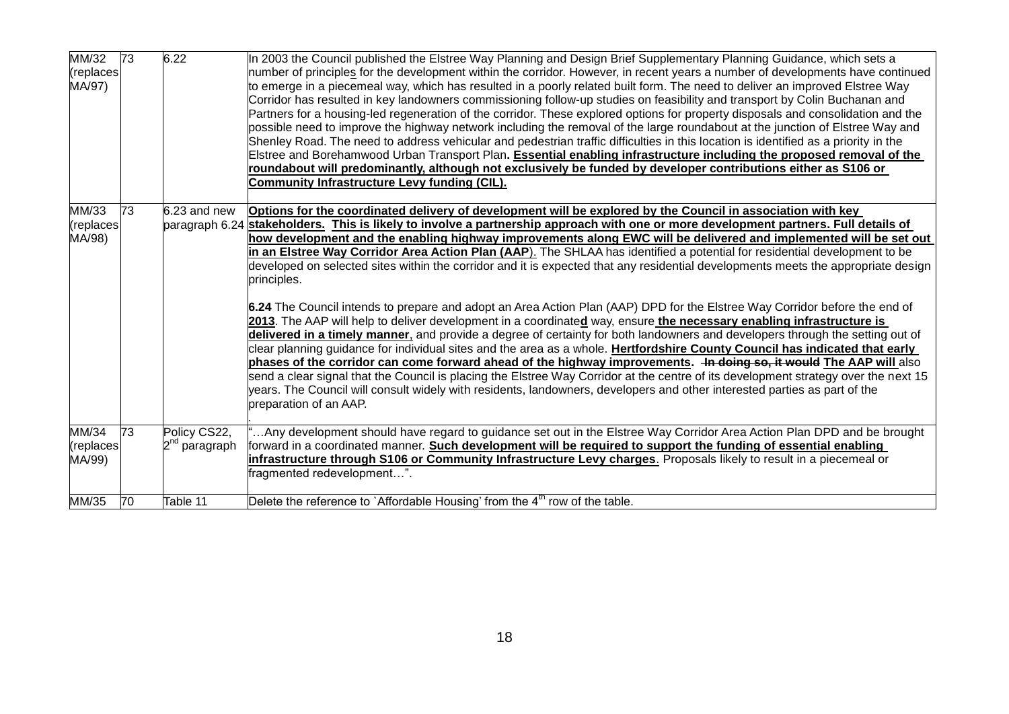| MM/32<br>(replaces)<br>MA/97) | 73              | 6.22                                      | In 2003 the Council published the Elstree Way Planning and Design Brief Supplementary Planning Guidance, which sets a<br>number of principles for the development within the corridor. However, in recent years a number of developments have continued<br>to emerge in a piecemeal way, which has resulted in a poorly related built form. The need to deliver an improved Elstree Way<br>Corridor has resulted in key landowners commissioning follow-up studies on feasibility and transport by Colin Buchanan and<br>Partners for a housing-led regeneration of the corridor. These explored options for property disposals and consolidation and the<br>possible need to improve the highway network including the removal of the large roundabout at the junction of Elstree Way and<br>Shenley Road. The need to address vehicular and pedestrian traffic difficulties in this location is identified as a priority in the<br>Elstree and Borehamwood Urban Transport Plan. Essential enabling infrastructure including the proposed removal of the<br>roundabout will predominantly, although not exclusively be funded by developer contributions either as S106 or<br>Community Infrastructure Levy funding (CIL).                                                                                                                                                                                                                                                                                                                                                                        |
|-------------------------------|-----------------|-------------------------------------------|-----------------------------------------------------------------------------------------------------------------------------------------------------------------------------------------------------------------------------------------------------------------------------------------------------------------------------------------------------------------------------------------------------------------------------------------------------------------------------------------------------------------------------------------------------------------------------------------------------------------------------------------------------------------------------------------------------------------------------------------------------------------------------------------------------------------------------------------------------------------------------------------------------------------------------------------------------------------------------------------------------------------------------------------------------------------------------------------------------------------------------------------------------------------------------------------------------------------------------------------------------------------------------------------------------------------------------------------------------------------------------------------------------------------------------------------------------------------------------------------------------------------------------------------------------------------------------------------------------|
| MM/33<br>(replaces)<br>MA/98) | 73              | 6.23 and new                              | Options for the coordinated delivery of development will be explored by the Council in association with key<br>paragraph 6.24 stakeholders. This is likely to involve a partnership approach with one or more development partners. Full details of<br>how development and the enabling highway improvements along EWC will be delivered and implemented will be set out<br>in an Elstree Way Corridor Area Action Plan (AAP). The SHLAA has identified a potential for residential development to be<br>developed on selected sites within the corridor and it is expected that any residential developments meets the appropriate design<br>principles.<br>6.24 The Council intends to prepare and adopt an Area Action Plan (AAP) DPD for the Elstree Way Corridor before the end of<br>2013. The AAP will help to deliver development in a coordinated way, ensure the necessary enabling infrastructure is<br>delivered in a timely manner, and provide a degree of certainty for both landowners and developers through the setting out of<br>clear planning guidance for individual sites and the area as a whole. Hertfordshire County Council has indicated that early<br>phases of the corridor can come forward ahead of the highway improvements. He doing so, it would The AAP will also<br>send a clear signal that the Council is placing the Elstree Way Corridor at the centre of its development strategy over the next 15<br>years. The Council will consult widely with residents, landowners, developers and other interested parties as part of the<br>preparation of an AAP. |
| MM/34<br>(replaces<br>MA/99)  | $\overline{73}$ | Policy CS22,<br>2 <sup>nd</sup> paragraph | Any development should have regard to guidance set out in the Elstree Way Corridor Area Action Plan DPD and be brought<br>forward in a coordinated manner. Such development will be required to support the funding of essential enabling<br>infrastructure through S106 or Community Infrastructure Levy charges. Proposals likely to result in a piecemeal or<br>fragmented redevelopment".                                                                                                                                                                                                                                                                                                                                                                                                                                                                                                                                                                                                                                                                                                                                                                                                                                                                                                                                                                                                                                                                                                                                                                                                       |
| MM/35                         | 70              | Table 11                                  | Delete the reference to `Affordable Housing' from the $4th$ row of the table.                                                                                                                                                                                                                                                                                                                                                                                                                                                                                                                                                                                                                                                                                                                                                                                                                                                                                                                                                                                                                                                                                                                                                                                                                                                                                                                                                                                                                                                                                                                       |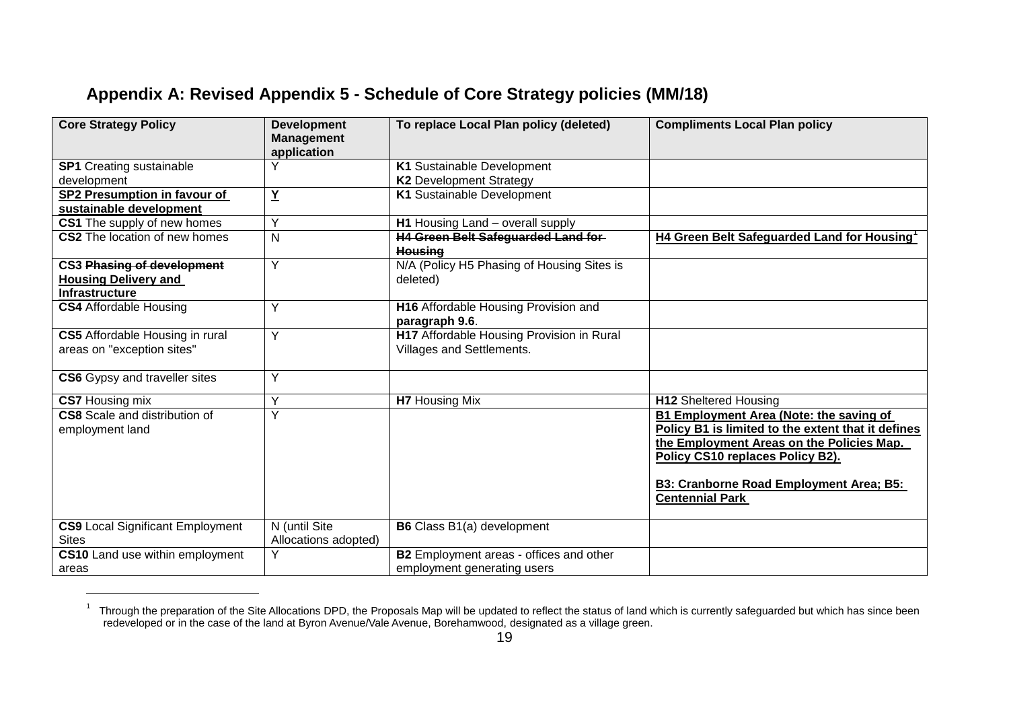### **Appendix A: Revised Appendix 5 - Schedule of Core Strategy policies (MM/18)**

 $\overline{a}$ 

| <b>Core Strategy Policy</b>             | <b>Development</b><br><b>Management</b><br>application | To replace Local Plan policy (deleted)                       | <b>Compliments Local Plan policy</b>                                          |
|-----------------------------------------|--------------------------------------------------------|--------------------------------------------------------------|-------------------------------------------------------------------------------|
| <b>SP1</b> Creating sustainable         | Y                                                      | K1 Sustainable Development                                   |                                                                               |
| development                             |                                                        | <b>K2 Development Strategy</b>                               |                                                                               |
| SP2 Presumption in favour of            | $\underline{Y}$                                        | K1 Sustainable Development                                   |                                                                               |
| sustainable development                 |                                                        |                                                              |                                                                               |
| CS1 The supply of new homes             | Υ                                                      | H1 Housing Land - overall supply                             |                                                                               |
| CS2 The location of new homes           | N                                                      | <b>H4 Green Belt Safeguarded Land for-</b><br><b>Housing</b> | <b>H4 Green Belt Safeguarded Land for Housing</b> <sup>1</sup>                |
| <b>CS3 Phasing of development</b>       | Y                                                      | N/A (Policy H5 Phasing of Housing Sites is                   |                                                                               |
| <b>Housing Delivery and</b>             |                                                        | deleted)                                                     |                                                                               |
| <b>Infrastructure</b>                   |                                                        |                                                              |                                                                               |
| <b>CS4</b> Affordable Housing           | Y                                                      | H16 Affordable Housing Provision and<br>paragraph 9.6.       |                                                                               |
| CS5 Affordable Housing in rural         | Y                                                      | H17 Affordable Housing Provision in Rural                    |                                                                               |
| areas on "exception sites"              |                                                        | Villages and Settlements.                                    |                                                                               |
| CS6 Gypsy and traveller sites           | Y                                                      |                                                              |                                                                               |
| <b>CS7</b> Housing mix                  | Y                                                      | <b>H7</b> Housing Mix                                        | <b>H12 Sheltered Housing</b>                                                  |
| <b>CS8</b> Scale and distribution of    | $\overline{Y}$                                         |                                                              | B1 Employment Area (Note: the saving of                                       |
| employment land                         |                                                        |                                                              | Policy B1 is limited to the extent that it defines                            |
|                                         |                                                        |                                                              | the Employment Areas on the Policies Map.<br>Policy CS10 replaces Policy B2). |
|                                         |                                                        |                                                              | B3: Cranborne Road Employment Area; B5:<br><b>Centennial Park</b>             |
| <b>CS9</b> Local Significant Employment | N (until Site                                          | B6 Class B1(a) development                                   |                                                                               |
| <b>Sites</b>                            | Allocations adopted)                                   |                                                              |                                                                               |
| CS10 Land use within employment         |                                                        | B2 Employment areas - offices and other                      |                                                                               |
| areas                                   |                                                        | employment generating users                                  |                                                                               |

<sup>1</sup> Through the preparation of the Site Allocations DPD, the Proposals Map will be updated to reflect the status of land which is currently safeguarded but which has since been redeveloped or in the case of the land at Byron Avenue/Vale Avenue, Borehamwood, designated as a village green.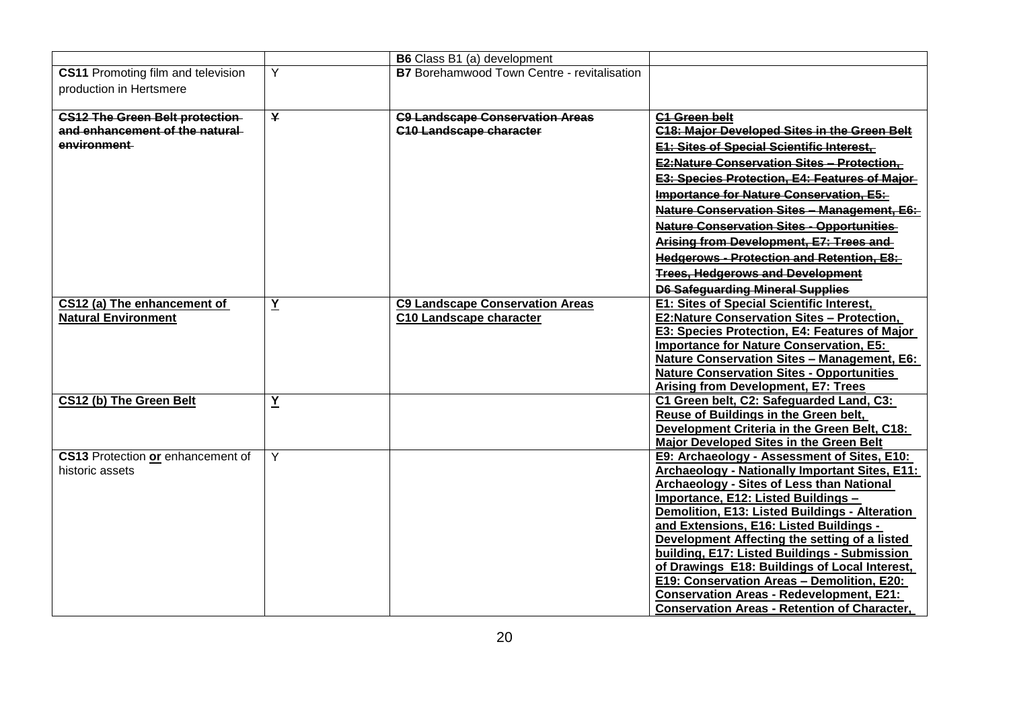| <b>CS11</b> Promoting film and television<br>production in Hertsmere                    | Y                       | <b>B7</b> Borehamwood Town Centre - revitalisation                       |                                                                                                                                                                                                                                                                                                                                                                                                                                                                                                                                                                                          |  |  |
|-----------------------------------------------------------------------------------------|-------------------------|--------------------------------------------------------------------------|------------------------------------------------------------------------------------------------------------------------------------------------------------------------------------------------------------------------------------------------------------------------------------------------------------------------------------------------------------------------------------------------------------------------------------------------------------------------------------------------------------------------------------------------------------------------------------------|--|--|
| <b>CS12 The Green Belt protection-</b><br>and enhancement of the natural<br>environment | $\overline{\mathbf{Y}}$ | <b>C9 Landscape Conservation Areas</b><br><b>C10 Landscape character</b> | <b>C1 Green belt</b><br><b>C18: Maior Developed Sites in the Green Belt</b><br><b>E1: Sites of Special Scientific Interest,</b>                                                                                                                                                                                                                                                                                                                                                                                                                                                          |  |  |
|                                                                                         |                         |                                                                          | <b>E2:Nature Conservation Sites - Protection,</b><br>E3: Species Protection, E4: Features of Major-<br><b>Importance for Nature Conservation, E5:-</b>                                                                                                                                                                                                                                                                                                                                                                                                                                   |  |  |
|                                                                                         |                         |                                                                          | Nature Conservation Sites - Management, E6:<br><b>Nature Conservation Sites - Opportunities</b>                                                                                                                                                                                                                                                                                                                                                                                                                                                                                          |  |  |
|                                                                                         |                         |                                                                          | Arising from Development, E7: Trees and<br><b>Hedgerows - Protection and Retention, E8:-</b><br><b>Trees, Hedgerows and Development</b>                                                                                                                                                                                                                                                                                                                                                                                                                                                  |  |  |
|                                                                                         |                         |                                                                          | <b>D6 Safeguarding Mineral Supplies</b>                                                                                                                                                                                                                                                                                                                                                                                                                                                                                                                                                  |  |  |
| CS12 (a) The enhancement of<br><b>Natural Environment</b>                               | $\underline{Y}$         | <b>C9 Landscape Conservation Areas</b><br><b>C10 Landscape character</b> | E1: Sites of Special Scientific Interest,<br><b>E2:Nature Conservation Sites - Protection,</b><br>E3: Species Protection, E4: Features of Major<br><b>Importance for Nature Conservation, E5:</b><br>Nature Conservation Sites - Management, E6:<br><b>Nature Conservation Sites - Opportunities</b><br><b>Arising from Development, E7: Trees</b>                                                                                                                                                                                                                                       |  |  |
| CS12 (b) The Green Belt                                                                 | $\underline{Y}$         |                                                                          | C1 Green belt, C2: Safeguarded Land, C3:<br>Reuse of Buildings in the Green belt,<br>Development Criteria in the Green Belt, C18:<br><b>Major Developed Sites in the Green Belt</b>                                                                                                                                                                                                                                                                                                                                                                                                      |  |  |
| CS13 Protection or enhancement of<br>historic assets                                    | Y                       |                                                                          | E9: Archaeology - Assessment of Sites, E10:<br>Archaeology - Nationally Important Sites, E11:<br>Archaeology - Sites of Less than National<br>Importance, E12: Listed Buildings -<br>Demolition, E13: Listed Buildings - Alteration<br>and Extensions, E16: Listed Buildings -<br>Development Affecting the setting of a listed<br>building, E17: Listed Buildings - Submission<br>of Drawings E18: Buildings of Local Interest,<br>E19: Conservation Areas - Demolition, E20:<br><b>Conservation Areas - Redevelopment, E21:</b><br><b>Conservation Areas - Retention of Character,</b> |  |  |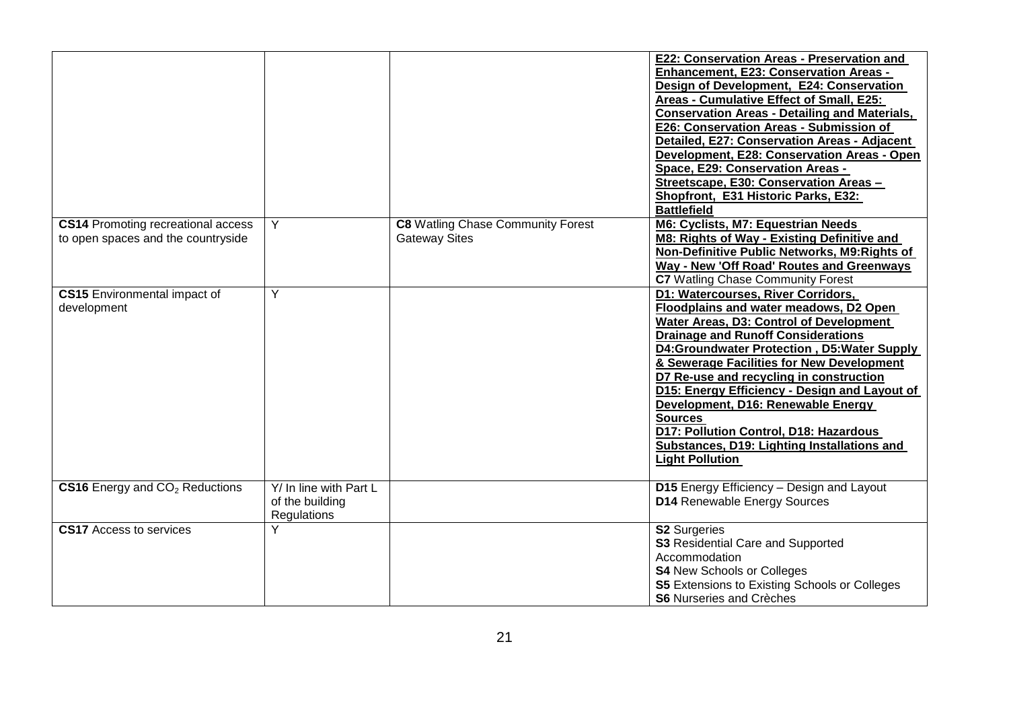|                                                                                 |                                                          |                                                                  | E22: Conservation Areas - Preservation and<br>Enhancement, E23: Conservation Areas -<br>Design of Development, E24: Conservation<br>Areas - Cumulative Effect of Small, E25:<br><b>Conservation Areas - Detailing and Materials,</b><br>E26: Conservation Areas - Submission of<br>Detailed, E27: Conservation Areas - Adjacent<br>Development, E28: Conservation Areas - Open<br>Space, E29: Conservation Areas -<br>Streetscape, E30: Conservation Areas -<br>Shopfront, E31 Historic Parks, E32:<br><b>Battlefield</b>              |
|---------------------------------------------------------------------------------|----------------------------------------------------------|------------------------------------------------------------------|----------------------------------------------------------------------------------------------------------------------------------------------------------------------------------------------------------------------------------------------------------------------------------------------------------------------------------------------------------------------------------------------------------------------------------------------------------------------------------------------------------------------------------------|
| <b>CS14 Promoting recreational access</b><br>to open spaces and the countryside | Y                                                        | <b>C8</b> Watling Chase Community Forest<br><b>Gateway Sites</b> | M6: Cyclists, M7: Equestrian Needs<br>M8: Rights of Way - Existing Definitive and<br>Non-Definitive Public Networks, M9: Rights of<br>Way - New 'Off Road' Routes and Greenways<br>C7 Watling Chase Community Forest                                                                                                                                                                                                                                                                                                                   |
| <b>CS15</b> Environmental impact of<br>development                              | Y                                                        |                                                                  | D1: Watercourses, River Corridors,<br>Floodplains and water meadows, D2 Open<br>Water Areas, D3: Control of Development<br><b>Drainage and Runoff Considerations</b><br>D4:Groundwater Protection, D5:Water Supply<br>& Sewerage Facilities for New Development<br>D7 Re-use and recycling in construction<br>D15: Energy Efficiency - Design and Layout of<br>Development, D16: Renewable Energy<br><b>Sources</b><br>D17: Pollution Control, D18: Hazardous<br>Substances, D19: Lighting Installations and<br><b>Light Pollution</b> |
| CS16 Energy and CO <sub>2</sub> Reductions                                      | Y/ In line with Part L<br>of the building<br>Regulations |                                                                  | D15 Energy Efficiency - Design and Layout<br>D14 Renewable Energy Sources                                                                                                                                                                                                                                                                                                                                                                                                                                                              |
| <b>CS17</b> Access to services                                                  | Y                                                        |                                                                  | <b>S2 Surgeries</b><br><b>S3</b> Residential Care and Supported<br>Accommodation<br><b>S4 New Schools or Colleges</b><br><b>S5</b> Extensions to Existing Schools or Colleges<br><b>S6</b> Nurseries and Crèches                                                                                                                                                                                                                                                                                                                       |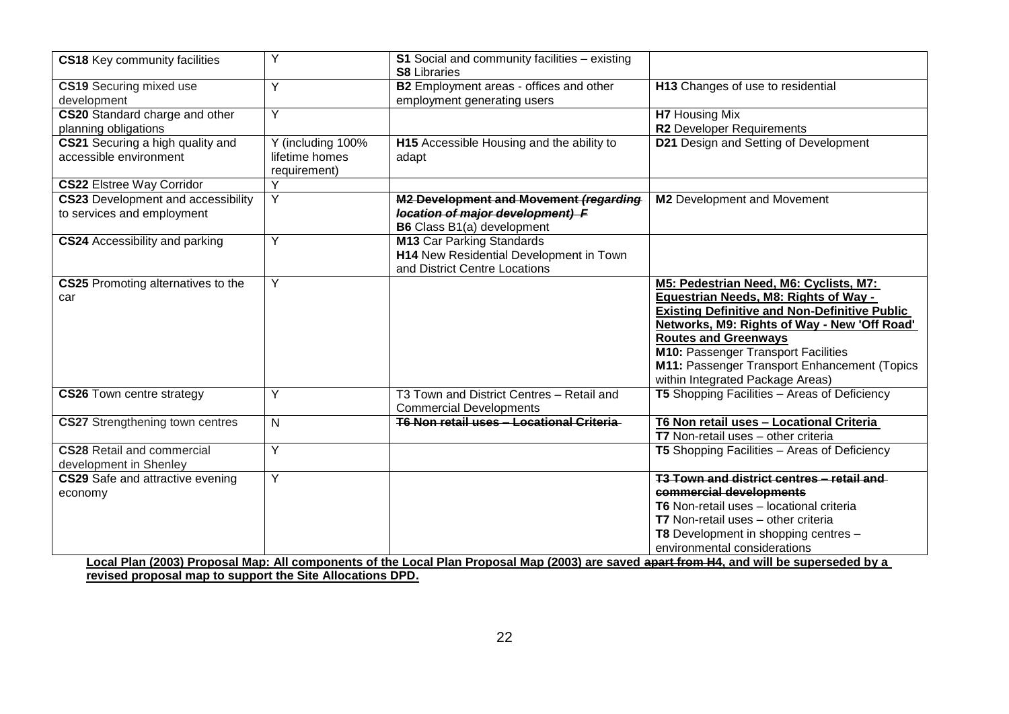| Y<br>B2 Employment areas - offices and other<br>H13 Changes of use to residential<br><b>CS19</b> Securing mixed use<br>employment generating users<br>Y<br>CS20 Standard charge and other<br>H7 Housing Mix<br><b>R2</b> Developer Requirements<br>planning obligations<br>CS21 Securing a high quality and<br>H15 Accessible Housing and the ability to<br>D21 Design and Setting of Development<br>Y (including 100%<br>accessible environment<br>lifetime homes<br>adapt<br>requirement)<br>Y<br>$\overline{Y}$<br><b>CS23</b> Development and accessibility<br>M2 Development and Movement (regarding<br>M2 Development and Movement<br>to services and employment<br>location of major development) F<br><b>B6</b> Class B1(a) development<br>Y<br><b>M13 Car Parking Standards</b><br>H14 New Residential Development in Town<br>and District Centre Locations<br>Y<br>M5: Pedestrian Need, M6: Cyclists, M7:<br>Equestrian Needs, M8: Rights of Way -<br>car<br><b>Existing Definitive and Non-Definitive Public</b><br>Networks, M9: Rights of Way - New 'Off Road'<br><b>Routes and Greenways</b><br><b>M10: Passenger Transport Facilities</b><br>M11: Passenger Transport Enhancement (Topics<br>within Integrated Package Areas)<br>T5 Shopping Facilities - Areas of Deficiency<br>Y<br>T3 Town and District Centres - Retail and<br><b>Commercial Developments</b><br>T6 Non retail uses - Locational Criteria<br>N<br>T6 Non retail uses - Locational Criteria<br>T7 Non-retail uses - other criteria<br>Y<br>T5 Shopping Facilities - Areas of Deficiency<br>T3 Town and district centres - retail and<br>CS29 Safe and attractive evening<br>Y<br>commercial developments<br>T6 Non-retail uses - locational criteria<br>T7 Non-retail uses - other criteria<br>T8 Development in shopping centres -<br>environmental considerations<br>Local Plan (2003) Proposal Map: All components of the Local Plan Proposal Map (2003) are saved apart from H4, and will be superseded by a | CS18 Key community facilities                               | Y | S1 Social and community facilities - existing<br><b>S8 Libraries</b> |  |
|----------------------------------------------------------------------------------------------------------------------------------------------------------------------------------------------------------------------------------------------------------------------------------------------------------------------------------------------------------------------------------------------------------------------------------------------------------------------------------------------------------------------------------------------------------------------------------------------------------------------------------------------------------------------------------------------------------------------------------------------------------------------------------------------------------------------------------------------------------------------------------------------------------------------------------------------------------------------------------------------------------------------------------------------------------------------------------------------------------------------------------------------------------------------------------------------------------------------------------------------------------------------------------------------------------------------------------------------------------------------------------------------------------------------------------------------------------------------------------------------------------------------------------------------------------------------------------------------------------------------------------------------------------------------------------------------------------------------------------------------------------------------------------------------------------------------------------------------------------------------------------------------------------------------------------------------------------------------------------------------------|-------------------------------------------------------------|---|----------------------------------------------------------------------|--|
|                                                                                                                                                                                                                                                                                                                                                                                                                                                                                                                                                                                                                                                                                                                                                                                                                                                                                                                                                                                                                                                                                                                                                                                                                                                                                                                                                                                                                                                                                                                                                                                                                                                                                                                                                                                                                                                                                                                                                                                                    | development                                                 |   |                                                                      |  |
|                                                                                                                                                                                                                                                                                                                                                                                                                                                                                                                                                                                                                                                                                                                                                                                                                                                                                                                                                                                                                                                                                                                                                                                                                                                                                                                                                                                                                                                                                                                                                                                                                                                                                                                                                                                                                                                                                                                                                                                                    |                                                             |   |                                                                      |  |
|                                                                                                                                                                                                                                                                                                                                                                                                                                                                                                                                                                                                                                                                                                                                                                                                                                                                                                                                                                                                                                                                                                                                                                                                                                                                                                                                                                                                                                                                                                                                                                                                                                                                                                                                                                                                                                                                                                                                                                                                    |                                                             |   |                                                                      |  |
|                                                                                                                                                                                                                                                                                                                                                                                                                                                                                                                                                                                                                                                                                                                                                                                                                                                                                                                                                                                                                                                                                                                                                                                                                                                                                                                                                                                                                                                                                                                                                                                                                                                                                                                                                                                                                                                                                                                                                                                                    | <b>CS22 Elstree Way Corridor</b>                            |   |                                                                      |  |
|                                                                                                                                                                                                                                                                                                                                                                                                                                                                                                                                                                                                                                                                                                                                                                                                                                                                                                                                                                                                                                                                                                                                                                                                                                                                                                                                                                                                                                                                                                                                                                                                                                                                                                                                                                                                                                                                                                                                                                                                    |                                                             |   |                                                                      |  |
|                                                                                                                                                                                                                                                                                                                                                                                                                                                                                                                                                                                                                                                                                                                                                                                                                                                                                                                                                                                                                                                                                                                                                                                                                                                                                                                                                                                                                                                                                                                                                                                                                                                                                                                                                                                                                                                                                                                                                                                                    | <b>CS24</b> Accessibility and parking                       |   |                                                                      |  |
|                                                                                                                                                                                                                                                                                                                                                                                                                                                                                                                                                                                                                                                                                                                                                                                                                                                                                                                                                                                                                                                                                                                                                                                                                                                                                                                                                                                                                                                                                                                                                                                                                                                                                                                                                                                                                                                                                                                                                                                                    | CS25 Promoting alternatives to the                          |   |                                                                      |  |
|                                                                                                                                                                                                                                                                                                                                                                                                                                                                                                                                                                                                                                                                                                                                                                                                                                                                                                                                                                                                                                                                                                                                                                                                                                                                                                                                                                                                                                                                                                                                                                                                                                                                                                                                                                                                                                                                                                                                                                                                    | <b>CS26</b> Town centre strategy                            |   |                                                                      |  |
|                                                                                                                                                                                                                                                                                                                                                                                                                                                                                                                                                                                                                                                                                                                                                                                                                                                                                                                                                                                                                                                                                                                                                                                                                                                                                                                                                                                                                                                                                                                                                                                                                                                                                                                                                                                                                                                                                                                                                                                                    | <b>CS27</b> Strengthening town centres                      |   |                                                                      |  |
|                                                                                                                                                                                                                                                                                                                                                                                                                                                                                                                                                                                                                                                                                                                                                                                                                                                                                                                                                                                                                                                                                                                                                                                                                                                                                                                                                                                                                                                                                                                                                                                                                                                                                                                                                                                                                                                                                                                                                                                                    | <b>CS28</b> Retail and commercial<br>development in Shenley |   |                                                                      |  |
|                                                                                                                                                                                                                                                                                                                                                                                                                                                                                                                                                                                                                                                                                                                                                                                                                                                                                                                                                                                                                                                                                                                                                                                                                                                                                                                                                                                                                                                                                                                                                                                                                                                                                                                                                                                                                                                                                                                                                                                                    | economy                                                     |   |                                                                      |  |
| revised proposal map to support the Site Allocations DPD.                                                                                                                                                                                                                                                                                                                                                                                                                                                                                                                                                                                                                                                                                                                                                                                                                                                                                                                                                                                                                                                                                                                                                                                                                                                                                                                                                                                                                                                                                                                                                                                                                                                                                                                                                                                                                                                                                                                                          |                                                             |   |                                                                      |  |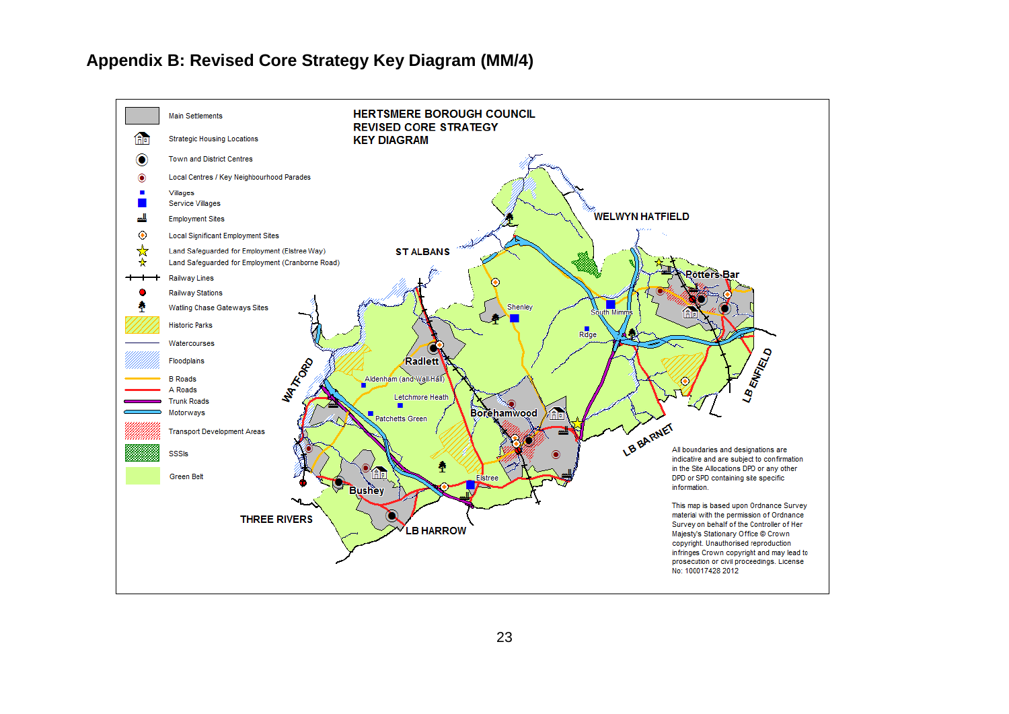#### **Appendix B: Revised Core Strategy Key Diagram (MM/4)**

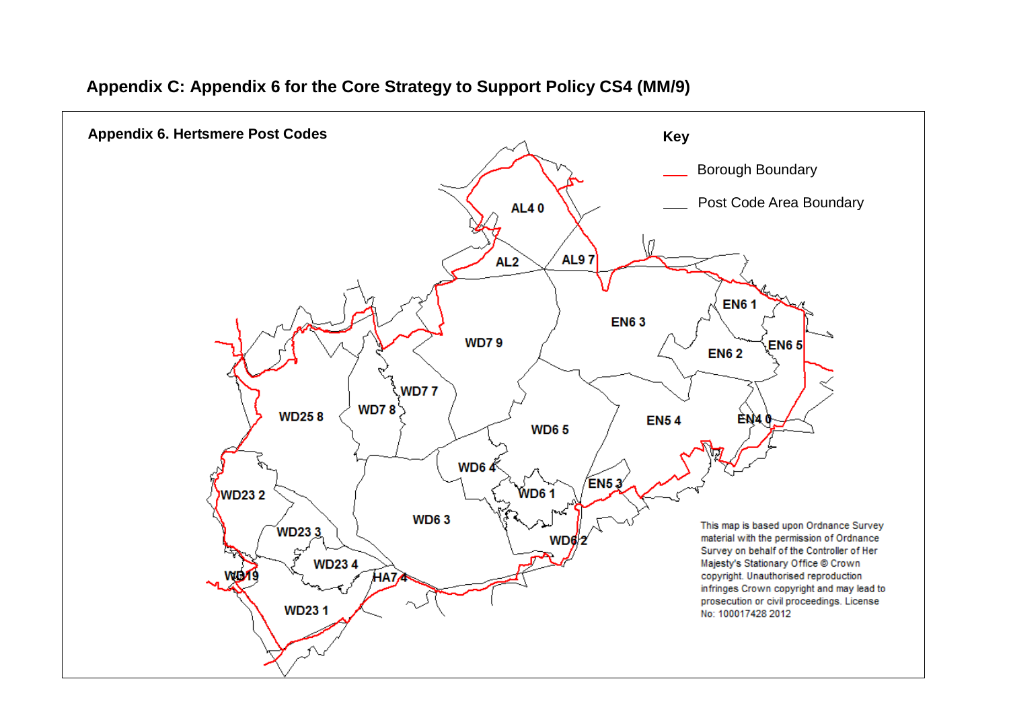#### **Appendix C: Appendix 6 for the Core Strategy to Support Policy CS4 (MM/9)**

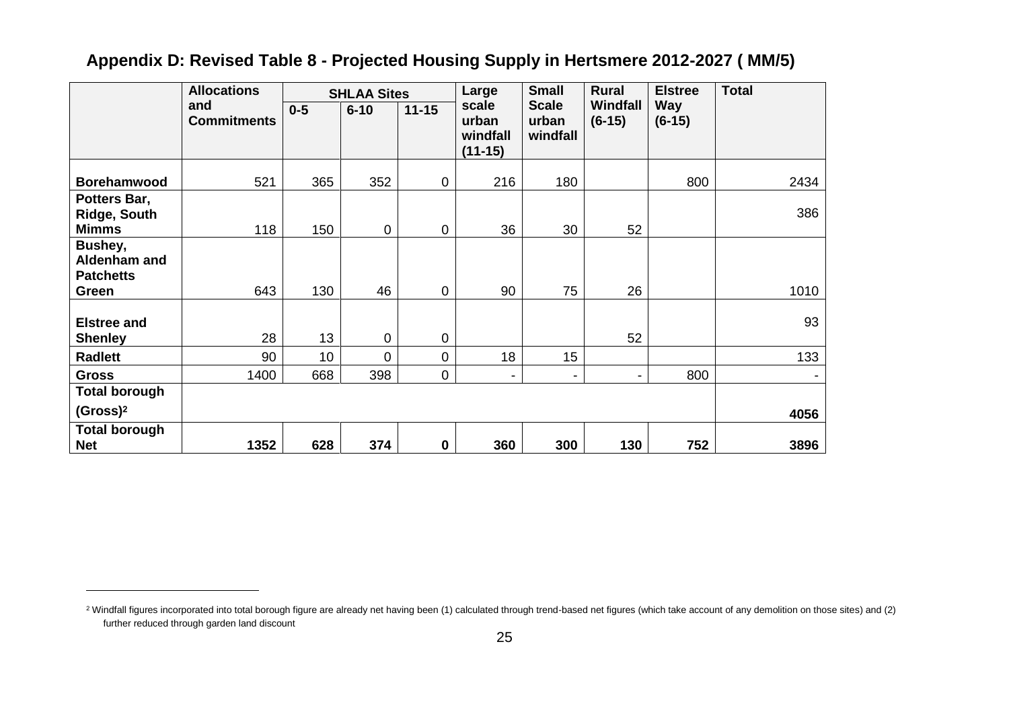# **Appendix D: Revised Table 8 - Projected Housing Supply in Hertsmere 2012-2027 ( MM/5)**

|                                                     | <b>Allocations</b>        | <b>SHLAA Sites</b> |             | Large       | <b>Small</b>                            | <b>Rural</b>                      | <b>Elstree</b>              | <b>Total</b>           |      |
|-----------------------------------------------------|---------------------------|--------------------|-------------|-------------|-----------------------------------------|-----------------------------------|-----------------------------|------------------------|------|
|                                                     | and<br><b>Commitments</b> | $0 - 5$            | $6 - 10$    | $11 - 15$   | scale<br>urban<br>windfall<br>$(11-15)$ | <b>Scale</b><br>urban<br>windfall | <b>Windfall</b><br>$(6-15)$ | <b>Way</b><br>$(6-15)$ |      |
| <b>Borehamwood</b>                                  | 521                       | 365                | 352         | 0           | 216                                     | 180                               |                             | 800                    | 2434 |
| Potters Bar,<br><b>Ridge, South</b><br><b>Mimms</b> | 118                       | 150                | $\mathbf 0$ | 0           | 36                                      | 30                                | 52                          |                        | 386  |
| Bushey,<br>Aldenham and<br><b>Patchetts</b>         |                           |                    |             |             |                                         |                                   |                             |                        |      |
| Green                                               | 643                       | 130                | 46          | 0           | 90                                      | 75                                | 26                          |                        | 1010 |
| <b>Elstree and</b><br><b>Shenley</b>                | 28                        | 13                 | $\mathbf 0$ | 0           |                                         |                                   | 52                          |                        | 93   |
| <b>Radlett</b>                                      | 90                        | 10                 | 0           | 0           | 18                                      | 15                                |                             |                        | 133  |
| <b>Gross</b>                                        | 1400                      | 668                | 398         | 0           | ۰.                                      | -                                 | $\overline{\phantom{0}}$    | 800                    |      |
| <b>Total borough</b>                                |                           |                    |             |             |                                         |                                   |                             |                        |      |
| (Gross) <sup>2</sup>                                |                           |                    |             |             |                                         |                                   |                             |                        | 4056 |
| <b>Total borough</b><br><b>Net</b>                  | 1352                      | 628                | 374         | $\mathbf 0$ | 360                                     | 300                               | 130                         | 752                    | 3896 |

 $\overline{a}$ 

<sup>&</sup>lt;sup>2</sup> Windfall figures incorporated into total borough figure are already net having been (1) calculated through trend-based net figures (which take account of any demolition on those sites) and (2) further reduced through garden land discount